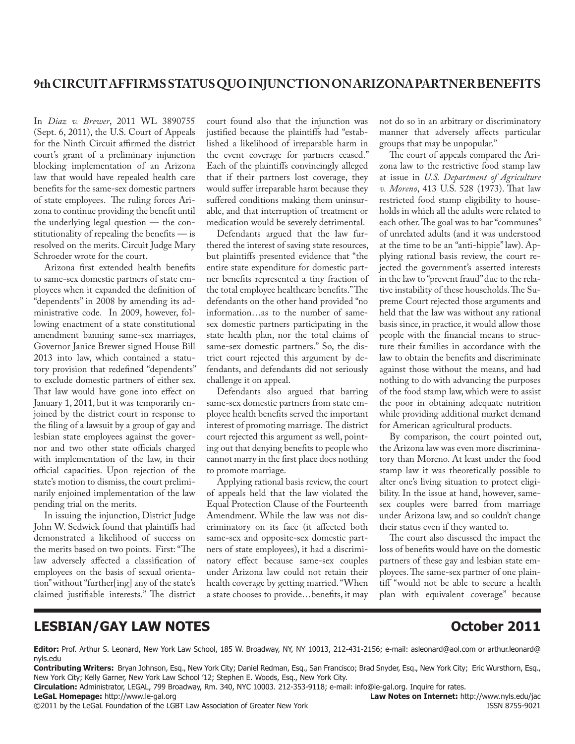In *Diaz v. Brewer*, 2011 WL 3890755 (Sept. 6, 2011), the U.S. Court of Appeals for the Ninth Circuit affirmed the district court's grant of a preliminary injunction blocking implementation of an Arizona law that would have repealed health care benefits for the same-sex domestic partners of state employees. The ruling forces Arizona to continue providing the benefit until the underlying legal question — the constitutionality of repealing the benefits  $-$  is resolved on the merits. Circuit Judge Mary Schroeder wrote for the court.

Arizona first extended health benefits to same-sex domestic partners of state employees when it expanded the definition of "dependents" in 2008 by amending its administrative code. In 2009, however, following enactment of a state constitutional amendment banning same-sex marriages, Governor Janice Brewer signed House Bill 2013 into law, which contained a statutory provision that redefined "dependents" to exclude domestic partners of either sex. That law would have gone into effect on January 1, 2011, but it was temporarily enjoined by the district court in response to the filing of a lawsuit by a group of gay and lesbian state employees against the governor and two other state officials charged with implementation of the law, in their official capacities. Upon rejection of the state's motion to dismiss, the court preliminarily enjoined implementation of the law pending trial on the merits.

In issuing the injunction, District Judge John W. Sedwick found that plaintiffs had demonstrated a likelihood of success on the merits based on two points. First: "The law adversely affected a classification of employees on the basis of sexual orientation" without "further[ing] any of the state's claimed justifiable interests." The district

court found also that the injunction was justified because the plaintiffs had "established a likelihood of irreparable harm in the event coverage for partners ceased." Each of the plaintiffs convincingly alleged that if their partners lost coverage, they would suffer irreparable harm because they suffered conditions making them uninsurable, and that interruption of treatment or medication would be severely detrimental.

Defendants argued that the law furthered the interest of saving state resources, but plaintiffs presented evidence that "the entire state expenditure for domestic partner benefits represented a tiny fraction of the total employee healthcare benefits." The defendants on the other hand provided "no information…as to the number of samesex domestic partners participating in the state health plan, nor the total claims of same-sex domestic partners." So, the district court rejected this argument by defendants, and defendants did not seriously challenge it on appeal.

Defendants also argued that barring same-sex domestic partners from state employee health benefits served the important interest of promoting marriage. The district court rejected this argument as well, pointing out that denying benefits to people who cannot marry in the first place does nothing to promote marriage.

Applying rational basis review, the court of appeals held that the law violated the Equal Protection Clause of the Fourteenth Amendment. While the law was not discriminatory on its face (it affected both same-sex and opposite-sex domestic partners of state employees), it had a discriminatory effect because same-sex couples under Arizona law could not retain their health coverage by getting married. "When a state chooses to provide...benefits, it may not do so in an arbitrary or discriminatory manner that adversely affects particular groups that may be unpopular."

The court of appeals compared the Arizona law to the restrictive food stamp law at issue in *U.S. Department of Agriculture v. Moreno*, 413 U.S. 528 (1973). That law restricted food stamp eligibility to households in which all the adults were related to each other. The goal was to bar "communes" of unrelated adults (and it was understood at the time to be an "anti-hippie" law). Applying rational basis review, the court rejected the government's asserted interests in the law to "prevent fraud" due to the relative instability of these households. The Supreme Court rejected those arguments and held that the law was without any rational basis since, in practice, it would allow those people with the financial means to structure their families in accordance with the law to obtain the benefits and discriminate against those without the means, and had nothing to do with advancing the purposes of the food stamp law, which were to assist the poor in obtaining adequate nutrition while providing additional market demand for American agricultural products.

By comparison, the court pointed out, the Arizona law was even more discriminatory than Moreno. At least under the food stamp law it was theoretically possible to alter one's living situation to protect eligibility. In the issue at hand, however, samesex couples were barred from marriage under Arizona law, and so couldn't change their status even if they wanted to.

The court also discussed the impact the loss of benefits would have on the domestic partners of these gay and lesbian state employees. The same-sex partner of one plaintiff "would not be able to secure a health plan with equivalent coverage" because

### **LESBIAN/GAY LAW NOTES CONSUMING CONSUMING CONSUMING CONSUMING CONSUMING CONSUMING CONSUMING CONSUMING CONSUMING CONSUMING CONSUMING CONSUMING CONSUMING CONSUMING CONSUMING CONSUMING CONSUMING CONSUMING CONSUMING CONSUMI**

Editor: Prof. Arthur S. Leonard, New York Law School, 185 W. Broadway, NY, NY 10013, 212-431-2156; e-mail: asleonard@aol.com or arthur.leonard@ nyls.edu

Contributing Writers: Bryan Johnson, Esq., New York City; Daniel Redman, Esq., San Francisco; Brad Snyder, Esq., New York City; Eric Wursthorn, Esq., New York City; Kelly Garner, New York Law School '12; Stephen E. Woods, Esq., New York City.

Circulation: Administrator, LEGAL, 799 Broadway, Rm. 340, NYC 10003. 212-353-9118; e-mail: info@le-gal.org. Inquire for rates.

Collary the Legal Foundation of the LGBT Law Association of Greater New York Theory 2011 by the Legal Foundation of the LGBT Law Association of Greater New York

**LeGaL Homepage:** http://www.le-gal.org **blue and the control of the control of the control of the control of the control of the control of the control of the control of the control of the control of the control of the con**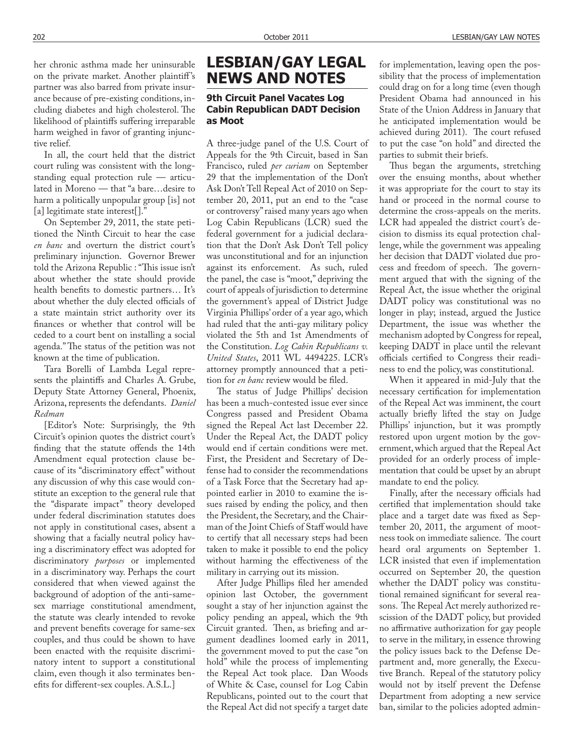her chronic asthma made her uninsurable on the private market. Another plaintiff's partner was also barred from private insurance because of pre-existing conditions, including diabetes and high cholesterol. The likelihood of plaintiffs suffering irreparable harm weighed in favor of granting injunctive relief.

In all, the court held that the district court ruling was consistent with the longstanding equal protection rule — articulated in Moreno — that "a bare…desire to harm a politically unpopular group [is] not [a] legitimate state interest[]."

On September 29, 2011, the state petitioned the Ninth Circuit to hear the case *en banc* and overturn the district court's preliminary injunction. Governor Brewer told the Arizona Republic : "This issue isn't about whether the state should provide health benefits to domestic partners... It's about whether the duly elected officials of a state maintain strict authority over its finances or whether that control will be ceded to a court bent on installing a social agenda." The status of the petition was not known at the time of publication.

Tara Borelli of Lambda Legal represents the plaintiffs and Charles A. Grube, Deputy State Attorney General, Phoenix, Arizona, represents the defendants. *Daniel Redman*

[Editor's Note: Surprisingly, the 9th Circuit's opinion quotes the district court's finding that the statute offends the 14th Amendment equal protection clause because of its "discriminatory effect" without any discussion of why this case would constitute an exception to the general rule that the "disparate impact" theory developed under federal discrimination statutes does not apply in constitutional cases, absent a showing that a facially neutral policy having a discriminatory effect was adopted for discriminatory *purposes* or implemented in a discriminatory way. Perhaps the court considered that when viewed against the background of adoption of the anti-samesex marriage constitutional amendment, the statute was clearly intended to revoke and prevent benefits coverage for same-sex couples, and thus could be shown to have been enacted with the requisite discriminatory intent to support a constitutional claim, even though it also terminates benefits for different-sex couples. A.S.L.]

# LESBIAN/GAY LEGAL **NEWS AND NOTES**

### **9th Circuit Panel Vacates Log Cabin Republican DADT Decision** as Moot

A three-judge panel of the U.S. Court of Appeals for the 9th Circuit, based in San Francisco, ruled *per curiam* on September 29 that the implementation of the Don't Ask Don't Tell Repeal Act of 2010 on September 20, 2011, put an end to the "case or controversy" raised many years ago when Log Cabin Republicans (LCR) sued the federal government for a judicial declaration that the Don't Ask Don't Tell policy was unconstitutional and for an injunction against its enforcement. As such, ruled the panel, the case is "moot," depriving the court of appeals of jurisdiction to determine the government's appeal of District Judge Virginia Phillips' order of a year ago, which had ruled that the anti-gay military policy violated the 5th and 1st Amendments of the Constitution. *Log Cabin Republicans v. United States*, 2011 WL 4494225. LCR's attorney promptly announced that a petition for *en banc* review would be filed.

The status of Judge Phillips' decision has been a much-contested issue ever since Congress passed and President Obama signed the Repeal Act last December 22. Under the Repeal Act, the DADT policy would end if certain conditions were met. First, the President and Secretary of Defense had to consider the recommendations of a Task Force that the Secretary had appointed earlier in 2010 to examine the issues raised by ending the policy, and then the President, the Secretary, and the Chairman of the Joint Chiefs of Staff would have to certify that all necessary steps had been taken to make it possible to end the policy without harming the effectiveness of the military in carrying out its mission.

After Judge Phillips filed her amended opinion last October, the government sought a stay of her injunction against the policy pending an appeal, which the 9th Circuit granted. Then, as briefing and argument deadlines loomed early in 2011, the government moved to put the case "on hold" while the process of implementing the Repeal Act took place. Dan Woods of White & Case, counsel for Log Cabin Republicans, pointed out to the court that the Repeal Act did not specify a target date

for implementation, leaving open the possibility that the process of implementation could drag on for a long time (even though President Obama had announced in his State of the Union Address in January that he anticipated implementation would be achieved during 2011). The court refused to put the case "on hold" and directed the parties to submit their briefs.

Thus began the arguments, stretching over the ensuing months, about whether it was appropriate for the court to stay its hand or proceed in the normal course to determine the cross-appeals on the merits. LCR had appealed the district court's decision to dismiss its equal protection challenge, while the government was appealing her decision that DADT violated due process and freedom of speech. The government argued that with the signing of the Repeal Act, the issue whether the original DADT policy was constitutional was no longer in play; instead, argued the Justice Department, the issue was whether the mechanism adopted by Congress for repeal, keeping DADT in place until the relevant officials certified to Congress their readiness to end the policy, was constitutional.

When it appeared in mid-July that the necessary certification for implementation of the Repeal Act was imminent, the court actually briefly lifted the stay on Judge Phillips' injunction, but it was promptly restored upon urgent motion by the government, which argued that the Repeal Act provided for an orderly process of implementation that could be upset by an abrupt mandate to end the policy.

Finally, after the necessary officials had certified that implementation should take place and a target date was fixed as September 20, 2011, the argument of mootness took on immediate salience. The court heard oral arguments on September 1. LCR insisted that even if implementation occurred on September 20, the question whether the DADT policy was constitutional remained significant for several reasons. The Repeal Act merely authorized rescission of the DADT policy, but provided no affirmative authorization for gay people to serve in the military, in essence throwing the policy issues back to the Defense Department and, more generally, the Executive Branch. Repeal of the statutory policy would not by itself prevent the Defense Department from adopting a new service ban, similar to the policies adopted admin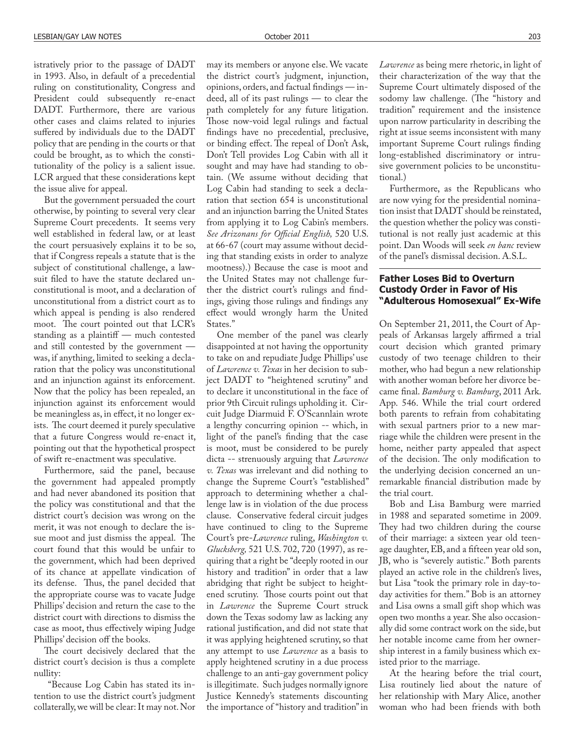istratively prior to the passage of DADT in 1993. Also, in default of a precedential ruling on constitutionality, Congress and President could subsequently re-enact DADT. Furthermore, there are various other cases and claims related to injuries suffered by individuals due to the DADT policy that are pending in the courts or that could be brought, as to which the constitutionality of the policy is a salient issue. LCR argued that these considerations kept the issue alive for appeal.

But the government persuaded the court otherwise, by pointing to several very clear Supreme Court precedents. It seems very well established in federal law, or at least the court persuasively explains it to be so, that if Congress repeals a statute that is the subject of constitutional challenge, a lawsuit filed to have the statute declared unconstitutional is moot, and a declaration of unconstitutional from a district court as to which appeal is pending is also rendered moot. The court pointed out that LCR's standing as a plaintiff  $-$  much contested and still contested by the government was, if anything, limited to seeking a declaration that the policy was unconstitutional and an injunction against its enforcement. Now that the policy has been repealed, an injunction against its enforcement would be meaningless as, in effect, it no longer exists. The court deemed it purely speculative that a future Congress would re-enact it, pointing out that the hypothetical prospect of swift re-enactment was speculative.

Furthermore, said the panel, because the government had appealed promptly and had never abandoned its position that the policy was constitutional and that the district court's decision was wrong on the merit, it was not enough to declare the issue moot and just dismiss the appeal. The court found that this would be unfair to the government, which had been deprived of its chance at appellate vindication of its defense. Thus, the panel decided that the appropriate course was to vacate Judge Phillips' decision and return the case to the district court with directions to dismiss the case as moot, thus effectively wiping Judge Phillips' decision off the books.

The court decisively declared that the district court's decision is thus a complete nullity:

"Because Log Cabin has stated its intention to use the district court's judgment collaterally, we will be clear: It may not. Nor

may its members or anyone else. We vacate the district court's judgment, injunction, opinions, orders, and factual findings - indeed, all of its past rulings — to clear the path completely for any future litigation. Those now-void legal rulings and factual findings have no precedential, preclusive, or binding effect. The repeal of Don't Ask, Don't Tell provides Log Cabin with all it sought and may have had standing to obtain. (We assume without deciding that Log Cabin had standing to seek a declaration that section 654 is unconstitutional and an injunction barring the United States from applying it to Log Cabin's members. See Arizonans for Official English, 520 U.S. at 66-67 (court may assume without deciding that standing exists in order to analyze mootness).) Because the case is moot and the United States may not challenge further the district court's rulings and findings, giving those rulings and findings any effect would wrongly harm the United States."

One member of the panel was clearly disappointed at not having the opportunity to take on and repudiate Judge Phillips' use of *Lawrence v. Texas* in her decision to subject DADT to "heightened scrutiny" and to declare it unconstitutional in the face of prior 9th Circuit rulings upholding it. Circuit Judge Diarmuid F. O'Scannlain wrote a lengthy concurring opinion -- which, in light of the panel's finding that the case is moot, must be considered to be purely dicta -- strenuously arguing that *Lawrence v. Texas* was irrelevant and did nothing to change the Supreme Court's "established" approach to determining whether a challenge law is in violation of the due process clause. Conservative federal circuit judges have continued to cling to the Supreme Court's pre-*Lawrence* ruling, *Washington v. Glucksberg,* 521 U.S. 702, 720 (1997), as requiring that a right be "deeply rooted in our history and tradition" in order that a law abridging that right be subject to heightened scrutiny. Those courts point out that in *Lawrence* the Supreme Court struck down the Texas sodomy law as lacking any rational justification, and did not state that it was applying heightened scrutiny, so that any attempt to use *Lawrence* as a basis to apply heightened scrutiny in a due process challenge to an anti-gay government policy is illegitimate. Such judges normally ignore Justice Kennedy's statements discounting the importance of "history and tradition" in

*Lawrence* as being mere rhetoric, in light of their characterization of the way that the Supreme Court ultimately disposed of the sodomy law challenge. (The "history and tradition" requirement and the insistence upon narrow particularity in describing the right at issue seems inconsistent with many important Supreme Court rulings finding long-established discriminatory or intrusive government policies to be unconstitutional.)

Furthermore, as the Republicans who are now vying for the presidential nomination insist that DADT should be reinstated, the question whether the policy was constitutional is not really just academic at this point. Dan Woods will seek *en banc* review of the panel's dismissal decision. A.S.L.

#### **Father Loses Bid to Overturn Custody Order in Favor of His "Adulterous Homosexual" Ex-Wife**

On September 21, 2011, the Court of Appeals of Arkansas largely affirmed a trial court decision which granted primary custody of two teenage children to their mother, who had begun a new relationship with another woman before her divorce became final. *Bamburg v. Bamburg*, 2011 Ark. App. 546. While the trial court ordered both parents to refrain from cohabitating with sexual partners prior to a new marriage while the children were present in the home, neither party appealed that aspect of the decision. The only modification to the underlying decision concerned an unremarkable financial distribution made by the trial court.

Bob and Lisa Bamburg were married in 1988 and separated sometime in 2009. They had two children during the course of their marriage: a sixteen year old teenage daughter, EB, and a fifteen year old son, JB, who is "severely autistic." Both parents played an active role in the children's lives, but Lisa "took the primary role in day-today activities for them." Bob is an attorney and Lisa owns a small gift shop which was open two months a year. She also occasionally did some contract work on the side, but her notable income came from her ownership interest in a family business which existed prior to the marriage.

At the hearing before the trial court, Lisa routinely lied about the nature of her relationship with Mary Alice, another woman who had been friends with both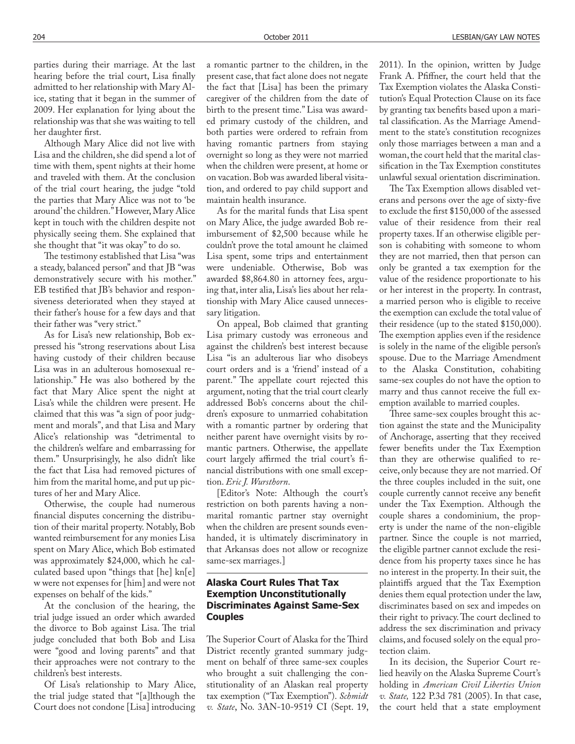parties during their marriage. At the last hearing before the trial court, Lisa finally admitted to her relationship with Mary Alice, stating that it began in the summer of 2009. Her explanation for lying about the relationship was that she was waiting to tell her daughter first.

Although Mary Alice did not live with Lisa and the children, she did spend a lot of time with them, spent nights at their home and traveled with them. At the conclusion of the trial court hearing, the judge "told the parties that Mary Alice was not to 'be around' the children." However, Mary Alice kept in touch with the children despite not physically seeing them. She explained that she thought that "it was okay" to do so.

The testimony established that Lisa "was a steady, balanced person" and that JB "was demonstratively secure with his mother." EB testified that JB's behavior and responsiveness deteriorated when they stayed at their father's house for a few days and that their father was "very strict."

As for Lisa's new relationship, Bob expressed his "strong reservations about Lisa having custody of their children because Lisa was in an adulterous homosexual relationship." He was also bothered by the fact that Mary Alice spent the night at Lisa's while the children were present. He claimed that this was "a sign of poor judgment and morals", and that Lisa and Mary Alice's relationship was "detrimental to the children's welfare and embarrassing for them." Unsurprisingly, he also didn't like the fact that Lisa had removed pictures of him from the marital home, and put up pictures of her and Mary Alice.

Otherwise, the couple had numerous financial disputes concerning the distribution of their marital property. Notably, Bob wanted reimbursement for any monies Lisa spent on Mary Alice, which Bob estimated was approximately \$24,000, which he calculated based upon "things that [he] kn[e] w were not expenses for [him] and were not expenses on behalf of the kids."

At the conclusion of the hearing, the trial judge issued an order which awarded the divorce to Bob against Lisa. The trial judge concluded that both Bob and Lisa were "good and loving parents" and that their approaches were not contrary to the children's best interests.

Of Lisa's relationship to Mary Alice, the trial judge stated that "[a]lthough the Court does not condone [Lisa] introducing

a romantic partner to the children, in the present case, that fact alone does not negate the fact that [Lisa] has been the primary caregiver of the children from the date of birth to the present time." Lisa was awarded primary custody of the children, and both parties were ordered to refrain from having romantic partners from staying overnight so long as they were not married when the children were present, at home or on vacation. Bob was awarded liberal visitation, and ordered to pay child support and maintain health insurance.

As for the marital funds that Lisa spent on Mary Alice, the judge awarded Bob reimbursement of \$2,500 because while he couldn't prove the total amount he claimed Lisa spent, some trips and entertainment were undeniable. Otherwise, Bob was awarded \$8,864.80 in attorney fees, arguing that, inter alia, Lisa's lies about her relationship with Mary Alice caused unnecessary litigation.

On appeal, Bob claimed that granting Lisa primary custody was erroneous and against the children's best interest because Lisa "is an adulterous liar who disobeys court orders and is a 'friend' instead of a parent." The appellate court rejected this argument, noting that the trial court clearly addressed Bob's concerns about the children's exposure to unmarried cohabitation with a romantic partner by ordering that neither parent have overnight visits by romantic partners. Otherwise, the appellate court largely affirmed the trial court's financial distributions with one small exception. *Eric J. Wursthorn*.

[Editor's Note: Although the court's restriction on both parents having a nonmarital romantic partner stay overnight when the children are present sounds evenhanded, it is ultimately discriminatory in that Arkansas does not allow or recognize same-sex marriages.]

### **Alaska Court Rules That Tax Exemption Unconstitutionally Discriminates Against Same-Sex Couples**

The Superior Court of Alaska for the Third District recently granted summary judgment on behalf of three same-sex couples who brought a suit challenging the constitutionality of an Alaskan real property tax exemption ("Tax Exemption"). *Schmidt v. State*, No. 3AN-10-9519 CI (Sept. 19, 2011). In the opinion, written by Judge Frank A. Pfiffner, the court held that the Tax Exemption violates the Alaska Constitution's Equal Protection Clause on its face by granting tax benefits based upon a marital classification. As the Marriage Amendment to the state's constitution recognizes only those marriages between a man and a woman, the court held that the marital classification in the Tax Exemption constitutes unlawful sexual orientation discrimination.

The Tax Exemption allows disabled veterans and persons over the age of sixty-five to exclude the first \$150,000 of the assessed value of their residence from their real property taxes. If an otherwise eligible person is cohabiting with someone to whom they are not married, then that person can only be granted a tax exemption for the value of the residence proportionate to his or her interest in the property. In contrast, a married person who is eligible to receive the exemption can exclude the total value of their residence (up to the stated \$150,000). The exemption applies even if the residence is solely in the name of the eligible person's spouse. Due to the Marriage Amendment to the Alaska Constitution, cohabiting same-sex couples do not have the option to marry and thus cannot receive the full exemption available to married couples.

Three same-sex couples brought this action against the state and the Municipality of Anchorage, asserting that they received fewer benefits under the Tax Exemption than they are otherwise qualified to receive, only because they are not married. Of the three couples included in the suit, one couple currently cannot receive any benefit under the Tax Exemption. Although the couple shares a condominium, the property is under the name of the non-eligible partner. Since the couple is not married, the eligible partner cannot exclude the residence from his property taxes since he has no interest in the property. In their suit, the plaintiffs argued that the Tax Exemption denies them equal protection under the law, discriminates based on sex and impedes on their right to privacy. The court declined to address the sex discrimination and privacy claims, and focused solely on the equal protection claim.

In its decision, the Superior Court relied heavily on the Alaska Supreme Court's holding in *American Civil Liberties Union v. State,* 122 P.3d 781 (2005). In that case, the court held that a state employment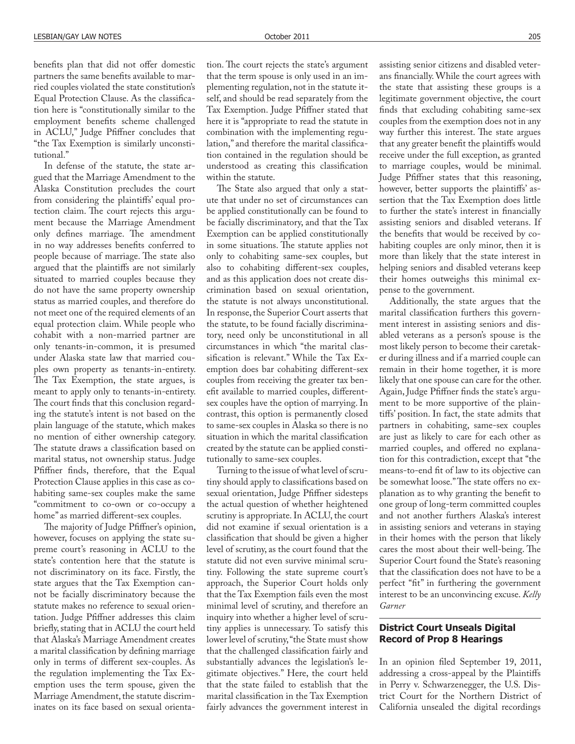benefits plan that did not offer domestic partners the same benefits available to married couples violated the state constitution's Equal Protection Clause. As the classification here is "constitutionally similar to the employment benefits scheme challenged in ACLU," Judge Pfiffner concludes that "the Tax Exemption is similarly unconstitutional."

In defense of the statute, the state argued that the Marriage Amendment to the Alaska Constitution precludes the court from considering the plaintiffs' equal protection claim. The court rejects this argument because the Marriage Amendment only defines marriage. The amendment in no way addresses benefits conferred to people because of marriage. The state also argued that the plaintiffs are not similarly situated to married couples because they do not have the same property ownership status as married couples, and therefore do not meet one of the required elements of an equal protection claim. While people who cohabit with a non-married partner are only tenants-in-common, it is presumed under Alaska state law that married couples own property as tenants-in-entirety. The Tax Exemption, the state argues, is meant to apply only to tenants-in-entirety. The court finds that this conclusion regarding the statute's intent is not based on the plain language of the statute, which makes no mention of either ownership category. The statute draws a classification based on marital status, not ownership status. Judge Pfiffner finds, therefore, that the Equal Protection Clause applies in this case as cohabiting same-sex couples make the same "commitment to co-own or co-occupy a home" as married different-sex couples.

The majority of Judge Pfiffner's opinion, however, focuses on applying the state supreme court's reasoning in ACLU to the state's contention here that the statute is not discriminatory on its face. Firstly, the state argues that the Tax Exemption cannot be facially discriminatory because the statute makes no reference to sexual orientation. Judge Pfiffner addresses this claim briefly, stating that in ACLU the court held that Alaska's Marriage Amendment creates a marital classification by defining marriage only in terms of different sex-couples. As the regulation implementing the Tax Exemption uses the term spouse, given the Marriage Amendment, the statute discriminates on its face based on sexual orientation. The court rejects the state's argument that the term spouse is only used in an implementing regulation, not in the statute itself, and should be read separately from the Tax Exemption. Judge Pfiffner stated that here it is "appropriate to read the statute in combination with the implementing regulation," and therefore the marital classification contained in the regulation should be understood as creating this classification within the statute.

The State also argued that only a statute that under no set of circumstances can be applied constitutionally can be found to be facially discriminatory, and that the Tax Exemption can be applied constitutionally in some situations. The statute applies not only to cohabiting same-sex couples, but also to cohabiting different-sex couples, and as this application does not create discrimination based on sexual orientation, the statute is not always unconstitutional. In response, the Superior Court asserts that the statute, to be found facially discriminatory, need only be unconstitutional in all circumstances in which "the marital classification is relevant." While the Tax Exemption does bar cohabiting different-sex couples from receiving the greater tax benefit available to married couples, differentsex couples have the option of marrying. In contrast, this option is permanently closed to same-sex couples in Alaska so there is no situation in which the marital classification created by the statute can be applied constitutionally to same-sex couples.

Turning to the issue of what level of scrutiny should apply to classifications based on sexual orientation, Judge Pfiffner sidesteps the actual question of whether heightened scrutiny is appropriate. In ACLU, the court did not examine if sexual orientation is a classification that should be given a higher level of scrutiny, as the court found that the statute did not even survive minimal scrutiny. Following the state supreme court's approach, the Superior Court holds only that the Tax Exemption fails even the most minimal level of scrutiny, and therefore an inquiry into whether a higher level of scrutiny applies is unnecessary. To satisfy this lower level of scrutiny, "the State must show that the challenged classification fairly and substantially advances the legislation's legitimate objectives." Here, the court held that the state failed to establish that the marital classification in the Tax Exemption fairly advances the government interest in

assisting senior citizens and disabled veterans financially. While the court agrees with the state that assisting these groups is a legitimate government objective, the court finds that excluding cohabiting same-sex couples from the exemption does not in any way further this interest. The state argues that any greater benefit the plaintiffs would receive under the full exception, as granted to marriage couples, would be minimal. Judge Pfiffner states that this reasoning, however, better supports the plaintiffs' assertion that the Tax Exemption does little to further the state's interest in financially assisting seniors and disabled veterans. If the benefits that would be received by cohabiting couples are only minor, then it is more than likely that the state interest in helping seniors and disabled veterans keep their homes outweighs this minimal expense to the government.

Additionally, the state argues that the marital classification furthers this government interest in assisting seniors and disabled veterans as a person's spouse is the most likely person to become their caretaker during illness and if a married couple can remain in their home together, it is more likely that one spouse can care for the other. Again, Judge Pfiffner finds the state's argument to be more supportive of the plaintiffs' position. In fact, the state admits that partners in cohabiting, same-sex couples are just as likely to care for each other as married couples, and offered no explanation for this contradiction, except that "the means-to-end fit of law to its objective can be somewhat loose." The state offers no explanation as to why granting the benefit to one group of long-term committed couples and not another furthers Alaska's interest in assisting seniors and veterans in staying in their homes with the person that likely cares the most about their well-being. The Superior Court found the State's reasoning that the classification does not have to be a perfect "fit" in furthering the government interest to be an unconvincing excuse. *Kelly Garner*

### **District Court Unseals Digital Record of Prop 8 Hearings**

In an opinion filed September 19, 2011, addressing a cross-appeal by the Plaintiffs in Perry v. Schwarzenegger, the U.S. District Court for the Northern District of California unsealed the digital recordings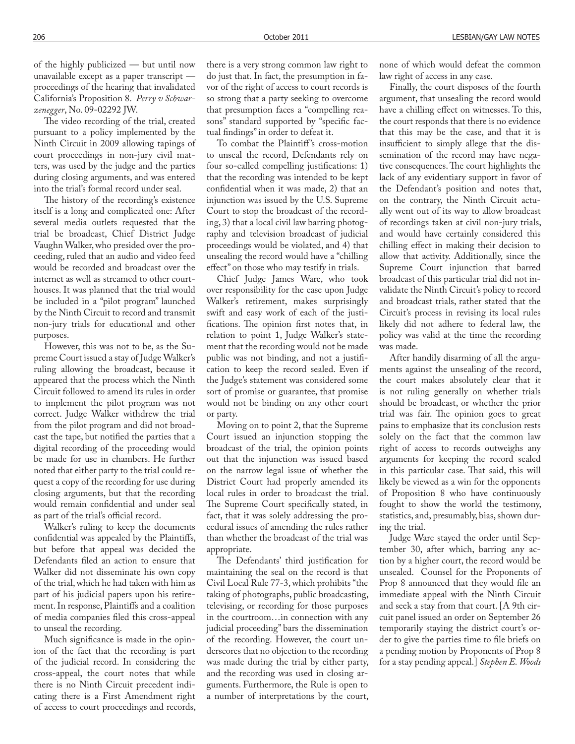of the highly publicized — but until now unavailable except as a paper transcript proceedings of the hearing that invalidated California's Proposition 8. *Perry v Schwarzenegger*, No. 09-02292 JW.

The video recording of the trial, created pursuant to a policy implemented by the Ninth Circuit in 2009 allowing tapings of court proceedings in non-jury civil matters, was used by the judge and the parties during closing arguments, and was entered into the trial's formal record under seal.

The history of the recording's existence itself is a long and complicated one: After several media outlets requested that the trial be broadcast, Chief District Judge Vaughn Walker, who presided over the proceeding, ruled that an audio and video feed would be recorded and broadcast over the internet as well as streamed to other courthouses. It was planned that the trial would be included in a "pilot program" launched by the Ninth Circuit to record and transmit non-jury trials for educational and other purposes.

However, this was not to be, as the Supreme Court issued a stay of Judge Walker's ruling allowing the broadcast, because it appeared that the process which the Ninth Circuit followed to amend its rules in order to implement the pilot program was not correct. Judge Walker withdrew the trial from the pilot program and did not broadcast the tape, but notified the parties that a digital recording of the proceeding would be made for use in chambers. He further noted that either party to the trial could request a copy of the recording for use during closing arguments, but that the recording would remain confidential and under seal as part of the trial's official record.

Walker's ruling to keep the documents confidential was appealed by the Plaintiffs, but before that appeal was decided the Defendants filed an action to ensure that Walker did not disseminate his own copy of the trial, which he had taken with him as part of his judicial papers upon his retirement. In response, Plaintiffs and a coalition of media companies filed this cross-appeal to unseal the recording.

Much significance is made in the opinion of the fact that the recording is part of the judicial record. In considering the cross-appeal, the court notes that while there is no Ninth Circuit precedent indicating there is a First Amendment right of access to court proceedings and records, there is a very strong common law right to do just that. In fact, the presumption in favor of the right of access to court records is so strong that a party seeking to overcome that presumption faces a "compelling reasons" standard supported by "specific factual findings" in order to defeat it.

To combat the Plaintiff's cross-motion to unseal the record, Defendants rely on four so-called compelling justifications: 1) that the recording was intended to be kept confidential when it was made, 2) that an injunction was issued by the U.S. Supreme Court to stop the broadcast of the recording, 3) that a local civil law barring photography and television broadcast of judicial proceedings would be violated, and 4) that unsealing the record would have a "chilling effect" on those who may testify in trials.

Chief Judge James Ware, who took over responsibility for the case upon Judge Walker's retirement, makes surprisingly swift and easy work of each of the justi fications. The opinion first notes that, in relation to point 1, Judge Walker's statement that the recording would not be made public was not binding, and not a justification to keep the record sealed. Even if the Judge's statement was considered some sort of promise or guarantee, that promise would not be binding on any other court or party.

Moving on to point 2, that the Supreme Court issued an injunction stopping the broadcast of the trial, the opinion points out that the injunction was issued based on the narrow legal issue of whether the District Court had properly amended its local rules in order to broadcast the trial. The Supreme Court specifically stated, in fact, that it was solely addressing the procedural issues of amending the rules rather than whether the broadcast of the trial was appropriate.

The Defendants' third justification for maintaining the seal on the record is that Civil Local Rule 77-3, which prohibits "the taking of photographs, public broadcasting, televising, or recording for those purposes in the courtroom…in connection with any judicial proceeding" bars the dissemination of the recording. However, the court underscores that no objection to the recording was made during the trial by either party, and the recording was used in closing arguments. Furthermore, the Rule is open to a number of interpretations by the court, none of which would defeat the common law right of access in any case.

Finally, the court disposes of the fourth argument, that unsealing the record would have a chilling effect on witnesses. To this, the court responds that there is no evidence that this may be the case, and that it is insufficient to simply allege that the dissemination of the record may have negative consequences. The court highlights the lack of any evidentiary support in favor of the Defendant's position and notes that, on the contrary, the Ninth Circuit actually went out of its way to allow broadcast of recordings taken at civil non-jury trials, and would have certainly considered this chilling effect in making their decision to allow that activity. Additionally, since the Supreme Court injunction that barred broadcast of this particular trial did not invalidate the Ninth Circuit's policy to record and broadcast trials, rather stated that the Circuit's process in revising its local rules likely did not adhere to federal law, the policy was valid at the time the recording was made.

After handily disarming of all the arguments against the unsealing of the record, the court makes absolutely clear that it is not ruling generally on whether trials should be broadcast, or whether the prior trial was fair. The opinion goes to great pains to emphasize that its conclusion rests solely on the fact that the common law right of access to records outweighs any arguments for keeping the record sealed in this particular case. That said, this will likely be viewed as a win for the opponents of Proposition 8 who have continuously fought to show the world the testimony, statistics, and, presumably, bias, shown during the trial.

Judge Ware stayed the order until September 30, after which, barring any action by a higher court, the record would be unsealed. Counsel for the Proponents of Prop 8 announced that they would file an immediate appeal with the Ninth Circuit and seek a stay from that court. [A 9th circuit panel issued an order on September 26 temporarily staying the district court's order to give the parties time to file briefs on a pending motion by Proponents of Prop 8 for a stay pending appeal.] *Stephen E. Woods*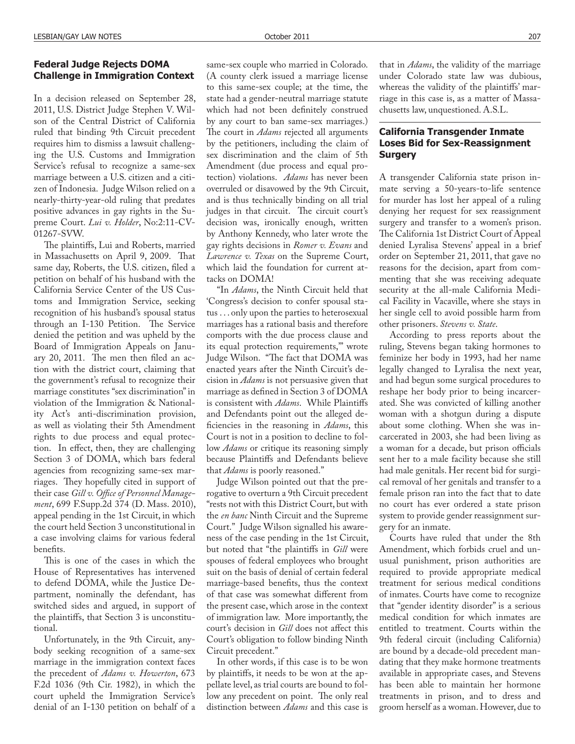#### **Federal Judge Rejects DOMA Challenge in Immigration Context**

In a decision released on September 28, 2011, U.S. District Judge Stephen V. Wilson of the Central District of California ruled that binding 9th Circuit precedent requires him to dismiss a lawsuit challenging the U.S. Customs and Immigration Service's refusal to recognize a same-sex marriage between a U.S. citizen and a citizen of Indonesia. Judge Wilson relied on a nearly-thirty-year-old ruling that predates positive advances in gay rights in the Supreme Court. *Lui v. Holder*, No:2:11-CV-01267-SVW.

The plaintiffs, Lui and Roberts, married in Massachusetts on April 9, 2009. That same day, Roberts, the U.S. citizen, filed a petition on behalf of his husband with the California Service Center of the US Customs and Immigration Service, seeking recognition of his husband's spousal status through an I-130 Petition. The Service denied the petition and was upheld by the Board of Immigration Appeals on January  $20$ ,  $2011$ . The men then filed an action with the district court, claiming that the government's refusal to recognize their marriage constitutes "sex discrimination" in violation of the Immigration & Nationality Act's anti-discrimination provision, as well as violating their 5th Amendment rights to due process and equal protection. In effect, then, they are challenging Section 3 of DOMA, which bars federal agencies from recognizing same-sex marriages. They hopefully cited in support of their case Gill v. Office of Personnel Manage*ment*, 699 F.Supp.2d 374 (D. Mass. 2010), appeal pending in the 1st Circuit, in which the court held Section 3 unconstitutional in a case involving claims for various federal benefits.

This is one of the cases in which the House of Representatives has intervened to defend DOMA, while the Justice Department, nominally the defendant, has switched sides and argued, in support of the plaintiffs, that Section 3 is unconstitutional.

Unfortunately, in the 9th Circuit, anybody seeking recognition of a same-sex marriage in the immigration context faces the precedent of *Adams v. Howerton*, 673 F.2d 1036 (9th Cir. 1982), in which the court upheld the Immigration Service's denial of an I-130 petition on behalf of a

same-sex couple who married in Colorado. (A county clerk issued a marriage license to this same-sex couple; at the time, the state had a gender-neutral marriage statute which had not been definitely construed by any court to ban same-sex marriages.) The court in *Adams* rejected all arguments by the petitioners, including the claim of sex discrimination and the claim of 5th Amendment (due process and equal protection) violations. *Adams* has never been overruled or disavowed by the 9th Circuit, and is thus technically binding on all trial judges in that circuit. The circuit court's decision was, ironically enough, written by Anthony Kennedy, who later wrote the gay rights decisions in *Romer v. Evans* and *Lawrence v. Texas* on the Supreme Court, which laid the foundation for current attacks on DOMA!

"In *Adams*, the Ninth Circuit held that 'Congress's decision to confer spousal status . . . only upon the parties to heterosexual marriages has a rational basis and therefore comports with the due process clause and its equal protection requirements,'" wrote Judge Wilson. "The fact that DOMA was enacted years after the Ninth Circuit's decision in *Adams* is not persuasive given that marriage as defined in Section 3 of DOMA is consistent with *Adams*. While Plaintiffs and Defendants point out the alleged de ficiencies in the reasoning in *Adams*, this Court is not in a position to decline to follow *Adams* or critique its reasoning simply because Plaintiffs and Defendants believe that *Adams* is poorly reasoned."

Judge Wilson pointed out that the prerogative to overturn a 9th Circuit precedent "rests not with this District Court, but with the *en banc* Ninth Circuit and the Supreme Court." Judge Wilson signalled his awareness of the case pending in the 1st Circuit, but noted that "the plaintiffs in *Gill* were spouses of federal employees who brought suit on the basis of denial of certain federal marriage-based benefits, thus the context of that case was somewhat different from the present case, which arose in the context of immigration law. More importantly, the court's decision in Gill does not affect this Court's obligation to follow binding Ninth Circuit precedent."

In other words, if this case is to be won by plaintiffs, it needs to be won at the appellate level, as trial courts are bound to follow any precedent on point. The only real distinction between *Adams* and this case is

that in *Adams*, the validity of the marriage under Colorado state law was dubious, whereas the validity of the plaintiffs' marriage in this case is, as a matter of Massachusetts law, unquestioned. A.S.L.

### **California Transgender Inmate Loses Bid for Sex-Reassignment Surgery**

A transgender California state prison inmate serving a 50-years-to-life sentence for murder has lost her appeal of a ruling denying her request for sex reassignment surgery and transfer to a women's prison. The California 1st District Court of Appeal denied Lyralisa Stevens' appeal in a brief order on September 21, 2011, that gave no reasons for the decision, apart from commenting that she was receiving adequate security at the all-male California Medical Facility in Vacaville, where she stays in her single cell to avoid possible harm from other prisoners. *Stevens v. State*.

According to press reports about the ruling, Stevens began taking hormones to feminize her body in 1993, had her name legally changed to Lyralisa the next year, and had begun some surgical procedures to reshape her body prior to being incarcerated. She was convicted of killing another woman with a shotgun during a dispute about some clothing. When she was incarcerated in 2003, she had been living as a woman for a decade, but prison officials sent her to a male facility because she still had male genitals. Her recent bid for surgical removal of her genitals and transfer to a female prison ran into the fact that to date no court has ever ordered a state prison system to provide gender reassignment surgery for an inmate.

Courts have ruled that under the 8th Amendment, which forbids cruel and unusual punishment, prison authorities are required to provide appropriate medical treatment for serious medical conditions of inmates. Courts have come to recognize that "gender identity disorder" is a serious medical condition for which inmates are entitled to treatment. Courts within the 9th federal circuit (including California) are bound by a decade-old precedent mandating that they make hormone treatments available in appropriate cases, and Stevens has been able to maintain her hormone treatments in prison, and to dress and groom herself as a woman. However, due to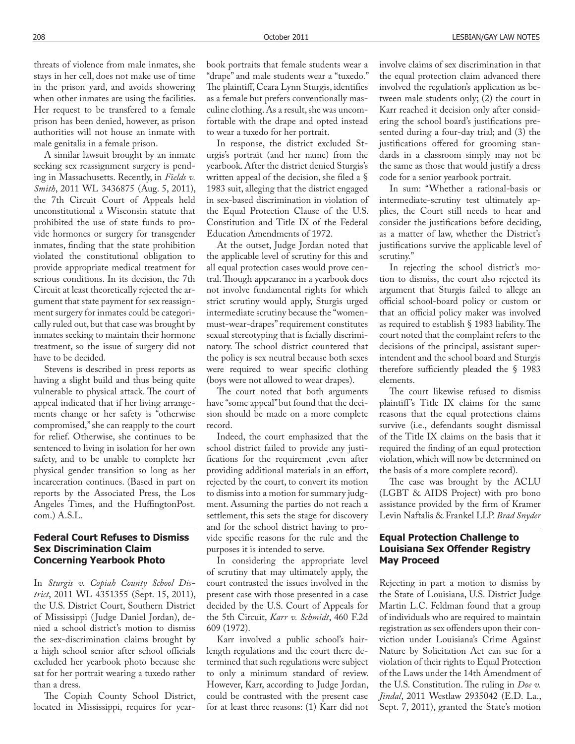threats of violence from male inmates, she stays in her cell, does not make use of time in the prison yard, and avoids showering when other inmates are using the facilities. Her request to be transfered to a female prison has been denied, however, as prison authorities will not house an inmate with male genitalia in a female prison.

A similar lawsuit brought by an inmate seeking sex reassignment surgery is pending in Massachusetts. Recently, in *Fields v. Smith*, 2011 WL 3436875 (Aug. 5, 2011), the 7th Circuit Court of Appeals held unconstitutional a Wisconsin statute that prohibited the use of state funds to provide hormones or surgery for transgender inmates, finding that the state prohibition violated the constitutional obligation to provide appropriate medical treatment for serious conditions. In its decision, the 7th Circuit at least theoretically rejected the argument that state payment for sex reassignment surgery for inmates could be categorically ruled out, but that case was brought by inmates seeking to maintain their hormone treatment, so the issue of surgery did not have to be decided.

Stevens is described in press reports as having a slight build and thus being quite vulnerable to physical attack. The court of appeal indicated that if her living arrangements change or her safety is "otherwise compromised," she can reapply to the court for relief. Otherwise, she continues to be sentenced to living in isolation for her own safety, and to be unable to complete her physical gender transition so long as her incarceration continues. (Based in part on reports by the Associated Press, the Los Angeles Times, and the HuffingtonPost. com.) A.S.L.

#### **Federal Court Refuses to Dismiss Sex Discrimination Claim Concerning Yearbook Photo**

In *Sturgis v. Copiah County School District*, 2011 WL 4351355 (Sept. 15, 2011), the U.S. District Court, Southern District of Mississippi ( Judge Daniel Jordan), denied a school district's motion to dismiss the sex-discrimination claims brought by a high school senior after school officials excluded her yearbook photo because she sat for her portrait wearing a tuxedo rather than a dress.

The Copiah County School District, located in Mississippi, requires for yearbook portraits that female students wear a "drape" and male students wear a "tuxedo." The plaintiff, Ceara Lynn Sturgis, identifies as a female but prefers conventionally masculine clothing. As a result, she was uncomfortable with the drape and opted instead to wear a tuxedo for her portrait.

In response, the district excluded Sturgis's portrait (and her name) from the yearbook. After the district denied Sturgis's written appeal of the decision, she filed a § 1983 suit, alleging that the district engaged in sex-based discrimination in violation of the Equal Protection Clause of the U.S. Constitution and Title IX of the Federal Education Amendments of 1972.

At the outset, Judge Jordan noted that the applicable level of scrutiny for this and all equal protection cases would prove central. Though appearance in a yearbook does not involve fundamental rights for which strict scrutiny would apply, Sturgis urged intermediate scrutiny because the "womenmust-wear-drapes" requirement constitutes sexual stereotyping that is facially discriminatory. The school district countered that the policy is sex neutral because both sexes were required to wear specific clothing (boys were not allowed to wear drapes).

The court noted that both arguments have "some appeal" but found that the decision should be made on a more complete record.

Indeed, the court emphasized that the school district failed to provide any justi fications for the requirement ,even after providing additional materials in an effort, rejected by the court, to convert its motion to dismiss into a motion for summary judgment. Assuming the parties do not reach a settlement, this sets the stage for discovery and for the school district having to provide specific reasons for the rule and the purposes it is intended to serve.

In considering the appropriate level of scrutiny that may ultimately apply, the court contrasted the issues involved in the present case with those presented in a case decided by the U.S. Court of Appeals for the 5th Circuit, *Karr v. Schmidt*, 460 F.2d 609 (1972).

Karr involved a public school's hairlength regulations and the court there determined that such regulations were subject to only a minimum standard of review. However, Karr, according to Judge Jordan, could be contrasted with the present case for at least three reasons: (1) Karr did not involve claims of sex discrimination in that the equal protection claim advanced there involved the regulation's application as between male students only; (2) the court in Karr reached it decision only after considering the school board's justifications presented during a four-day trial; and (3) the justifications offered for grooming standards in a classroom simply may not be the same as those that would justify a dress code for a senior yearbook portrait.

In sum: "Whether a rational-basis or intermediate-scrutiny test ultimately applies, the Court still needs to hear and consider the justifications before deciding, as a matter of law, whether the District's justifications survive the applicable level of scrutiny."

In rejecting the school district's motion to dismiss, the court also rejected its argument that Sturgis failed to allege an official school-board policy or custom or that an official policy maker was involved as required to establish  $\S$  1983 liability. The court noted that the complaint refers to the decisions of the principal, assistant superintendent and the school board and Sturgis therefore sufficiently pleaded the  $\S$  1983 elements.

The court likewise refused to dismiss plaintiff's Title IX claims for the same reasons that the equal protections claims survive (i.e., defendants sought dismissal of the Title IX claims on the basis that it required the finding of an equal protection violation, which will now be determined on the basis of a more complete record).

The case was brought by the ACLU (LGBT & AIDS Project) with pro bono assistance provided by the firm of Kramer Levin Naftalis & Frankel LLP. *Brad Snyder*

### **Equal Protection Challenge to Louisiana Sex Offender Registry May Proceed**

Rejecting in part a motion to dismiss by the State of Louisiana, U.S. District Judge Martin L.C. Feldman found that a group of individuals who are required to maintain registration as sex offenders upon their conviction under Louisiana's Crime Against Nature by Solicitation Act can sue for a violation of their rights to Equal Protection of the Laws under the 14th Amendment of the U.S. Constitution. The ruling in *Doe v*. *Jindal*, 2011 Westlaw 2935042 (E.D. La., Sept. 7, 2011), granted the State's motion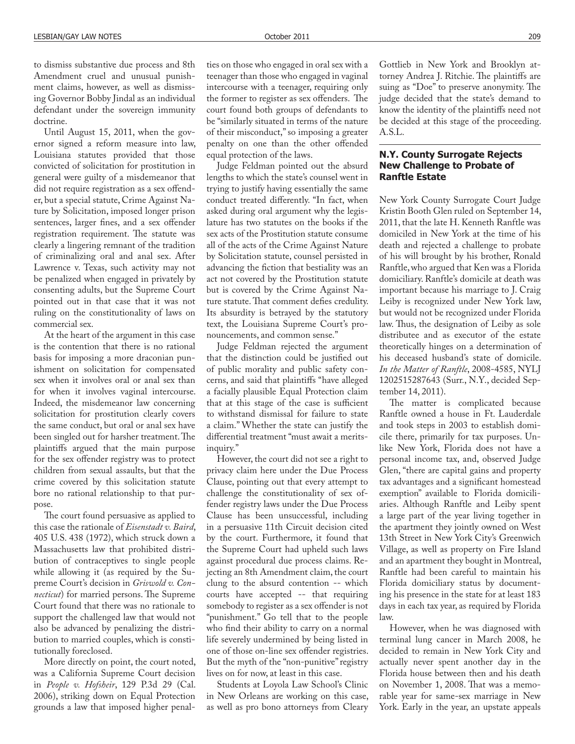to dismiss substantive due process and 8th Amendment cruel and unusual punishment claims, however, as well as dismissing Governor Bobby Jindal as an individual defendant under the sovereign immunity doctrine.

Until August 15, 2011, when the governor signed a reform measure into law, Louisiana statutes provided that those convicted of solicitation for prostitution in general were guilty of a misdemeanor that did not require registration as a sex offender, but a special statute, Crime Against Nature by Solicitation, imposed longer prison sentences, larger fines, and a sex offender registration requirement. The statute was clearly a lingering remnant of the tradition of criminalizing oral and anal sex. After Lawrence v. Texas, such activity may not be penalized when engaged in privately by consenting adults, but the Supreme Court pointed out in that case that it was not ruling on the constitutionality of laws on commercial sex.

At the heart of the argument in this case is the contention that there is no rational basis for imposing a more draconian punishment on solicitation for compensated sex when it involves oral or anal sex than for when it involves vaginal intercourse. Indeed, the misdemeanor law concerning solicitation for prostitution clearly covers the same conduct, but oral or anal sex have been singled out for harsher treatment. The plaintiffs argued that the main purpose for the sex offender registry was to protect children from sexual assaults, but that the crime covered by this solicitation statute bore no rational relationship to that purpose.

The court found persuasive as applied to this case the rationale of *Eisenstadt v. Baird*, 405 U.S. 438 (1972), which struck down a Massachusetts law that prohibited distribution of contraceptives to single people while allowing it (as required by the Supreme Court's decision in *Griswold v. Connecticut*) for married persons. The Supreme Court found that there was no rationale to support the challenged law that would not also be advanced by penalizing the distribution to married couples, which is constitutionally foreclosed.

More directly on point, the court noted, was a California Supreme Court decision in *People v. Hofsheir*, 129 P.3d 29 (Cal. 2006), striking down on Equal Protection grounds a law that imposed higher penalties on those who engaged in oral sex with a teenager than those who engaged in vaginal intercourse with a teenager, requiring only the former to register as sex offenders. The court found both groups of defendants to be "similarly situated in terms of the nature of their misconduct," so imposing a greater penalty on one than the other offended equal protection of the laws.

Judge Feldman pointed out the absurd lengths to which the state's counsel went in trying to justify having essentially the same conduct treated differently. "In fact, when asked during oral argument why the legislature has two statutes on the books if the sex acts of the Prostitution statute consume all of the acts of the Crime Against Nature by Solicitation statute, counsel persisted in advancing the fiction that bestiality was an act not covered by the Prostitution statute but is covered by the Crime Against Nature statute. That comment defies credulity. Its absurdity is betrayed by the statutory text, the Louisiana Supreme Court's pronouncements, and common sense."

Judge Feldman rejected the argument that the distinction could be justified out of public morality and public safety concerns, and said that plaintiffs "have alleged a facially plausible Equal Protection claim that at this stage of the case is sufficient to withstand dismissal for failure to state a claim." Whether the state can justify the differential treatment "must await a meritsinquiry."

However, the court did not see a right to privacy claim here under the Due Process Clause, pointing out that every attempt to challenge the constitutionality of sex offender registry laws under the Due Process Clause has been unsuccessful, including in a persuasive 11th Circuit decision cited by the court. Furthermore, it found that the Supreme Court had upheld such laws against procedural due process claims. Rejecting an 8th Amendment claim, the court clung to the absurd contention -- which courts have accepted -- that requiring somebody to register as a sex offender is not "punishment." Go tell that to the people who find their ability to carry on a normal life severely undermined by being listed in one of those on-line sex offender registries. But the myth of the "non-punitive" registry lives on for now, at least in this case.

Students at Loyola Law School's Clinic in New Orleans are working on this case, as well as pro bono attorneys from Cleary Gottlieb in New York and Brooklyn attorney Andrea J. Ritchie. The plaintiffs are suing as "Doe" to preserve anonymity. The judge decided that the state's demand to know the identity of the plaintiffs need not be decided at this stage of the proceeding. A.S.L.

### **N.Y. County Surrogate Rejects New Challenge to Probate of Ranftle Estate**

New York County Surrogate Court Judge Kristin Booth Glen ruled on September 14, 2011, that the late H. Kenneth Ranftle was domiciled in New York at the time of his death and rejected a challenge to probate of his will brought by his brother, Ronald Ranftle, who argued that Ken was a Florida domiciliary. Ranftle's domicile at death was important because his marriage to J. Craig Leiby is recognized under New York law, but would not be recognized under Florida law. Thus, the designation of Leiby as sole distributee and as executor of the estate theoretically hinges on a determination of his deceased husband's state of domicile. *In the Matter of Ranftle*, 2008-4585, NYLJ 1202515287643 (Surr., N.Y., decided September 14, 2011).

The matter is complicated because Ranftle owned a house in Ft. Lauderdale and took steps in 2003 to establish domicile there, primarily for tax purposes. Unlike New York, Florida does not have a personal income tax, and, observed Judge Glen, "there are capital gains and property tax advantages and a significant homestead exemption" available to Florida domiciliaries. Although Ranftle and Leiby spent a large part of the year living together in the apartment they jointly owned on West 13th Street in New York City's Greenwich Village, as well as property on Fire Island and an apartment they bought in Montreal, Ranftle had been careful to maintain his Florida domiciliary status by documenting his presence in the state for at least 183 days in each tax year, as required by Florida law.

However, when he was diagnosed with terminal lung cancer in March 2008, he decided to remain in New York City and actually never spent another day in the Florida house between then and his death on November 1, 2008. That was a memorable year for same-sex marriage in New York. Early in the year, an upstate appeals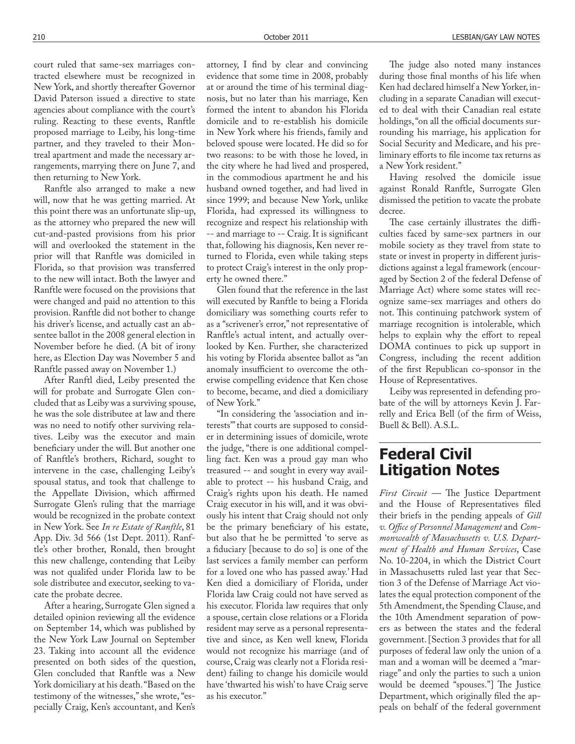court ruled that same-sex marriages contracted elsewhere must be recognized in New York, and shortly thereafter Governor David Paterson issued a directive to state agencies about compliance with the court's ruling. Reacting to these events, Ranftle proposed marriage to Leiby, his long-time partner, and they traveled to their Montreal apartment and made the necessary arrangements, marrying there on June 7, and then returning to New York.

Ranftle also arranged to make a new will, now that he was getting married. At this point there was an unfortunate slip-up, as the attorney who prepared the new will cut-and-pasted provisions from his prior will and overlooked the statement in the prior will that Ranftle was domiciled in Florida, so that provision was transferred to the new will intact. Both the lawyer and Ranftle were focused on the provisions that were changed and paid no attention to this provision. Ranftle did not bother to change his driver's license, and actually cast an absentee ballot in the 2008 general election in November before he died. (A bit of irony here, as Election Day was November 5 and Ranftle passed away on November 1.)

After Ranftl died, Leiby presented the will for probate and Surrogate Glen concluded that as Leiby was a surviving spouse, he was the sole distributee at law and there was no need to notify other surviving relatives. Leiby was the executor and main beneficiary under the will. But another one of Ranftle's brothers, Richard, sought to intervene in the case, challenging Leiby's spousal status, and took that challenge to the Appellate Division, which affirmed Surrogate Glen's ruling that the marriage would be recognized in the probate context in New York. See *In re Estate of Ranftle*, 81 App. Div. 3d 566 (1st Dept. 2011). Ranftle's other brother, Ronald, then brought this new challenge, contending that Leiby was not qualifed under Florida law to be sole distributee and executor, seeking to vacate the probate decree.

After a hearing, Surrogate Glen signed a detailed opinion reviewing all the evidence on September 14, which was published by the New York Law Journal on September 23. Taking into account all the evidence presented on both sides of the question, Glen concluded that Ranftle was a New York domiciliary at his death. "Based on the testimony of the witnesses," she wrote, "especially Craig, Ken's accountant, and Ken's

attorney, I find by clear and convincing evidence that some time in 2008, probably at or around the time of his terminal diagnosis, but no later than his marriage, Ken formed the intent to abandon his Florida domicile and to re-establish his domicile in New York where his friends, family and beloved spouse were located. He did so for two reasons: to be with those he loved, in the city where he had lived and prospered, in the commodious apartment he and his husband owned together, and had lived in since 1999; and because New York, unlike Florida, had expressed its willingness to recognize and respect his relationship with -- and marriage to -- Craig. It is significant that, following his diagnosis, Ken never returned to Florida, even while taking steps to protect Craig's interest in the only property he owned there."

Glen found that the reference in the last will executed by Ranftle to being a Florida domiciliary was something courts refer to as a "scrivener's error," not representative of Ranftle's actual intent, and actually overlooked by Ken. Further, she characterized his voting by Florida absentee ballot as "an anomaly insufficient to overcome the otherwise compelling evidence that Ken chose to become, became, and died a domiciliary of New York."

"In considering the 'association and interests'" that courts are supposed to consider in determining issues of domicile, wrote the judge, "there is one additional compelling fact. Ken was a proud gay man who treasured -- and sought in every way available to protect -- his husband Craig, and Craig's rights upon his death. He named Craig executor in his will, and it was obviously his intent that Craig should not only be the primary beneficiary of his estate, but also that he be permitted 'to serve as a fiduciary [because to do so] is one of the last services a family member can perform for a loved one who has passed away.' Had Ken died a domiciliary of Florida, under Florida law Craig could not have served as his executor. Florida law requires that only a spouse, certain close relations or a Florida resident may serve as a personal representative and since, as Ken well knew, Florida would not recognize his marriage (and of course, Craig was clearly not a Florida resident) failing to change his domicile would have 'thwarted his wish' to have Craig serve as his executor."

The judge also noted many instances during those final months of his life when Ken had declared himself a New Yorker, including in a separate Canadian will executed to deal with their Canadian real estate holdings, "on all the official documents surrounding his marriage, his application for Social Security and Medicare, and his preliminary efforts to file income tax returns as a New York resident."

Having resolved the domicile issue against Ronald Ranftle, Surrogate Glen dismissed the petition to vacate the probate decree.

The case certainly illustrates the difficulties faced by same-sex partners in our mobile society as they travel from state to state or invest in property in different jurisdictions against a legal framework (encouraged by Section 2 of the federal Defense of Marriage Act) where some states will recognize same-sex marriages and others do not. This continuing patchwork system of marriage recognition is intolerable, which helps to explain why the effort to repeal DOMA continues to pick up support in Congress, including the recent addition of the first Republican co-sponsor in the House of Representatives.

Leiby was represented in defending probate of the will by attorneys Kevin J. Farrelly and Erica Bell (of the firm of Weiss, Buell & Bell). A.S.L.

# **Federal Civil Litigation Notes**

 $First Circuit$  — The Justice Department and the House of Representatives filed their briefs in the pending appeals of *Gill*   $v$ . Office of Personnel Management and Com*monwealth of Massachusetts v. U.S. Department of Health and Human Services*, Case No. 10-2204, in which the District Court in Massachusetts ruled last year that Section 3 of the Defense of Marriage Act violates the equal protection component of the 5th Amendment, the Spending Clause, and the 10th Amendment separation of powers as between the states and the federal government. [Section 3 provides that for all purposes of federal law only the union of a man and a woman will be deemed a "marriage" and only the parties to such a union would be deemed "spouses."] The Justice Department, which originally filed the appeals on behalf of the federal government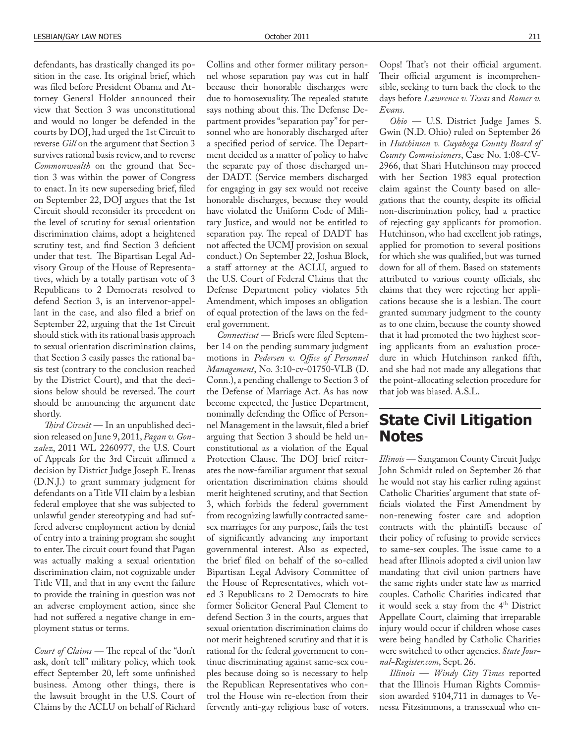defendants, has drastically changed its position in the case. Its original brief, which was filed before President Obama and Attorney General Holder announced their view that Section 3 was unconstitutional and would no longer be defended in the courts by DOJ, had urged the 1st Circuit to reverse *Gill* on the argument that Section 3 survives rational basis review, and to reverse *Commonwealth* on the ground that Section 3 was within the power of Congress to enact. In its new superseding brief, filed on September 22, DOJ argues that the 1st Circuit should reconsider its precedent on the level of scrutiny for sexual orientation discrimination claims, adopt a heightened scrutiny test, and find Section 3 deficient under that test. The Bipartisan Legal Advisory Group of the House of Representatives, which by a totally partisan vote of 3 Republicans to 2 Democrats resolved to defend Section 3, is an intervenor-appellant in the case, and also filed a brief on September 22, arguing that the 1st Circuit should stick with its rational basis approach to sexual orientation discrimination claims, that Section 3 easily passes the rational basis test (contrary to the conclusion reached by the District Court), and that the decisions below should be reversed. The court should be announcing the argument date shortly.

*Third Circuit* — In an unpublished decision released on June 9, 2011, *Pagan v. Gonzalez*, 2011 WL 2260977, the U.S. Court of Appeals for the 3rd Circuit affirmed a decision by District Judge Joseph E. Irenas (D.N.J.) to grant summary judgment for defendants on a Title VII claim by a lesbian federal employee that she was subjected to unlawful gender stereotyping and had suffered adverse employment action by denial of entry into a training program she sought to enter. The circuit court found that Pagan was actually making a sexual orientation discrimination claim, not cognizable under Title VII, and that in any event the failure to provide the training in question was not an adverse employment action, since she had not suffered a negative change in employment status or terms.

*Court of Claims* — The repeal of the "don't ask, don't tell" military policy, which took effect September 20, left some unfinished business. Among other things, there is the lawsuit brought in the U.S. Court of Claims by the ACLU on behalf of Richard

Collins and other former military personnel whose separation pay was cut in half because their honorable discharges were due to homosexuality. The repealed statute says nothing about this. The Defense Department provides "separation pay" for personnel who are honorably discharged after a specified period of service. The Department decided as a matter of policy to halve the separate pay of those discharged under DADT. (Service members discharged for engaging in gay sex would not receive honorable discharges, because they would have violated the Uniform Code of Military Justice, and would not be entitled to separation pay. The repeal of DADT has not affected the UCMJ provision on sexual conduct.) On September 22, Joshua Block, a staff attorney at the ACLU, argued to the U.S. Court of Federal Claims that the Defense Department policy violates 5th Amendment, which imposes an obligation of equal protection of the laws on the federal government.

*Connecticut* — Briefs were filed September 14 on the pending summary judgment motions in *Pedersen v. Office of Personnel Management*, No. 3:10-cv-01750-VLB (D. Conn.), a pending challenge to Section 3 of the Defense of Marriage Act. As has now become expected, the Justice Department, nominally defending the Office of Personnel Management in the lawsuit, filed a brief arguing that Section 3 should be held unconstitutional as a violation of the Equal Protection Clause. The DOJ brief reiterates the now-familiar argument that sexual orientation discrimination claims should merit heightened scrutiny, and that Section 3, which forbids the federal government from recognizing lawfully contracted samesex marriages for any purpose, fails the test of significantly advancing any important governmental interest. Also as expected, the brief filed on behalf of the so-called Bipartisan Legal Advisory Committee of the House of Representatives, which voted 3 Republicans to 2 Democrats to hire former Solicitor General Paul Clement to defend Section 3 in the courts, argues that sexual orientation discrimination claims do not merit heightened scrutiny and that it is rational for the federal government to continue discriminating against same-sex couples because doing so is necessary to help the Republican Representatives who control the House win re-election from their fervently anti-gay religious base of voters. Oops! That's not their official argument. Their official argument is incomprehensible, seeking to turn back the clock to the days before *Lawrence v. Texas* and *Romer v. Evans*.

*Ohio* — U.S. District Judge James S. Gwin (N.D. Ohio) ruled on September 26 in *Hutchinson v. Cuyahoga County Board of County Commissioners*, Case No. 1:08-CV-2966, that Shari Hutchinson may proceed with her Section 1983 equal protection claim against the County based on allegations that the county, despite its official non-discrimination policy, had a practice of rejecting gay applicants for promotion. Hutchinson, who had excellent job ratings, applied for promotion to several positions for which she was qualified, but was turned down for all of them. Based on statements attributed to various county officials, she claims that they were rejecting her applications because she is a lesbian. The court granted summary judgment to the county as to one claim, because the county showed that it had promoted the two highest scoring applicants from an evaluation procedure in which Hutchinson ranked fifth, and she had not made any allegations that the point-allocating selection procedure for that job was biased. A.S.L.

# **State Civil Litigation Notes**

*Illinois* — Sangamon County Circuit Judge John Schmidt ruled on September 26 that he would not stay his earlier ruling against Catholic Charities' argument that state of ficials violated the First Amendment by non-renewing foster care and adoption contracts with the plaintiffs because of their policy of refusing to provide services to same-sex couples. The issue came to a head after Illinois adopted a civil union law mandating that civil union partners have the same rights under state law as married couples. Catholic Charities indicated that it would seek a stay from the 4<sup>th</sup> District Appellate Court, claiming that irreparable injury would occur if children whose cases were being handled by Catholic Charities were switched to other agencies. *State Journal-Register.com*, Sept. 26.

*Illinois* — *Windy City Times* reported that the Illinois Human Rights Commission awarded \$104,711 in damages to Venessa Fitzsimmons, a transsexual who en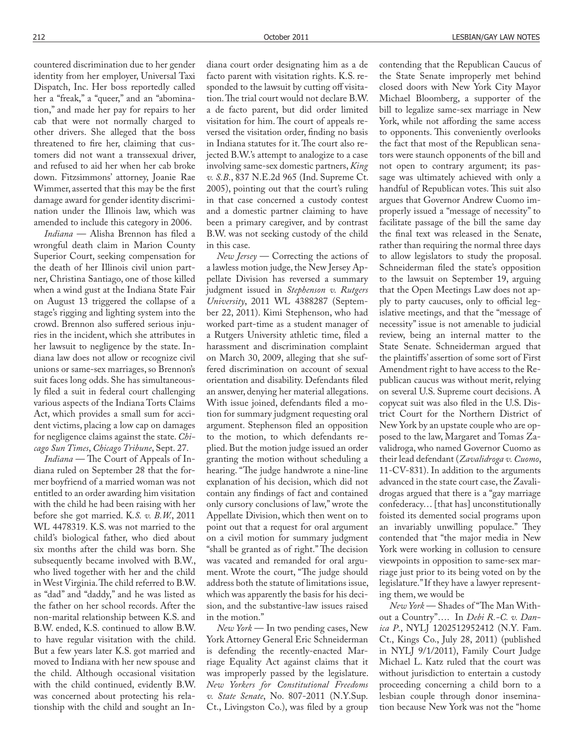countered discrimination due to her gender identity from her employer, Universal Taxi Dispatch, Inc. Her boss reportedly called her a "freak," a "queer," and an "abomination," and made her pay for repairs to her cab that were not normally charged to other drivers. She alleged that the boss threatened to fire her, claiming that customers did not want a transsexual driver, and refused to aid her when her cab broke down. Fitzsimmons' attorney, Joanie Rae Wimmer, asserted that this may be the first damage award for gender identity discrimination under the Illinois law, which was amended to include this category in 2006.

*Indiana* — Alisha Brennon has filed a wrongful death claim in Marion County Superior Court, seeking compensation for the death of her Illinois civil union partner, Christina Santiago, one of those killed when a wind gust at the Indiana State Fair on August 13 triggered the collapse of a stage's rigging and lighting system into the crowd. Brennon also suffered serious injuries in the incident, which she attributes in her lawsuit to negligence by the state. Indiana law does not allow or recognize civil unions or same-sex marriages, so Brennon's suit faces long odds. She has simultaneously filed a suit in federal court challenging various aspects of the Indiana Torts Claims Act, which provides a small sum for accident victims, placing a low cap on damages for negligence claims against the state. *Chicago Sun Times*, *Chicago Tribune*, Sept. 27.

*Indiana* — The Court of Appeals of Indiana ruled on September 28 that the former boyfriend of a married woman was not entitled to an order awarding him visitation with the child he had been raising with her before she got married. K*.S. v. B.W.*, 2011 WL 4478319. K.S. was not married to the child's biological father, who died about six months after the child was born. She subsequently became involved with B.W., who lived together with her and the child in West Virginia. The child referred to B.W. as "dad" and "daddy," and he was listed as the father on her school records. After the non-marital relationship between K.S. and B.W. ended, K.S. continued to allow B.W. to have regular visitation with the child. But a few years later K.S. got married and moved to Indiana with her new spouse and the child. Although occasional visitation with the child continued, evidently B.W. was concerned about protecting his relationship with the child and sought an Indiana court order designating him as a de facto parent with visitation rights. K.S. responded to the lawsuit by cutting off visitation. The trial court would not declare B.W. a de facto parent, but did order limited visitation for him. The court of appeals reversed the visitation order, finding no basis in Indiana statutes for it. The court also rejected B.W.'s attempt to analogize to a case involving same-sex domestic partners, *King v. S.B*., 837 N.E.2d 965 (Ind. Supreme Ct. 2005), pointing out that the court's ruling in that case concerned a custody contest and a domestic partner claiming to have been a primary caregiver, and by contrast B.W. was not seeking custody of the child in this case.

*New Jersey* — Correcting the actions of a lawless motion judge, the New Jersey Appellate Division has reversed a summary judgment issued in *Stephenson v. Rutgers University*, 2011 WL 4388287 (September 22, 2011). Kimi Stephenson, who had worked part-time as a student manager of a Rutgers University athletic time, filed a harassment and discrimination complaint on March 30, 2009, alleging that she suffered discrimination on account of sexual orientation and disability. Defendants filed an answer, denying her material allegations. With issue joined, defendants filed a motion for summary judgment requesting oral argument. Stephenson filed an opposition to the motion, to which defendants replied. But the motion judge issued an order granting the motion without scheduling a hearing. "The judge handwrote a nine-line explanation of his decision, which did not contain any findings of fact and contained only cursory conclusions of law," wrote the Appellate Division, which then went on to point out that a request for oral argument on a civil motion for summary judgment "shall be granted as of right." The decision was vacated and remanded for oral argument. Wrote the court, "The judge should address both the statute of limitations issue, which was apparently the basis for his decision, and the substantive-law issues raised in the motion."

*New York* — In two pending cases, New York Attorney General Eric Schneiderman is defending the recently-enacted Marriage Equality Act against claims that it was improperly passed by the legislature. *New Yorkers for Constitutional Freedoms v. State Senate*, No. 807-2011 (N.Y.Sup. Ct., Livingston Co.), was filed by a group

contending that the Republican Caucus of the State Senate improperly met behind closed doors with New York City Mayor Michael Bloomberg, a supporter of the bill to legalize same-sex marriage in New York, while not affording the same access to opponents. This conveniently overlooks the fact that most of the Republican senators were staunch opponents of the bill and not open to contrary argument; its passage was ultimately achieved with only a handful of Republican votes. This suit also argues that Governor Andrew Cuomo improperly issued a "message of necessity" to facilitate passage of the bill the same day the final text was released in the Senate, rather than requiring the normal three days to allow legislators to study the proposal. Schneiderman filed the state's opposition to the lawsuit on September 19, arguing that the Open Meetings Law does not apply to party caucuses, only to official legislative meetings, and that the "message of necessity" issue is not amenable to judicial review, being an internal matter to the State Senate. Schneiderman argued that the plaintiffs' assertion of some sort of First Amendment right to have access to the Republican caucus was without merit, relying on several U.S. Supreme court decisions. A copycat suit was also filed in the U.S. District Court for the Northern District of New York by an upstate couple who are opposed to the law, Margaret and Tomas Zavalidroga, who named Governor Cuomo as their lead defendant (*Zavalidroga v. Cuomo*, 11-CV-831). In addition to the arguments advanced in the state court case, the Zavalidrogas argued that there is a "gay marriage confederacy… [that has] unconstitutionally foisted its demented social programs upon an invariably unwilling populace." They contended that "the major media in New York were working in collusion to censure viewpoints in opposition to same-sex marriage just prior to its being voted on by the legislature." If they have a lawyer representing them, we would be

*New York* — Shades of "The Man Without a Country"…. In *Debi R.-C. v. Danica P*., NYLJ 1202512952412 (N.Y. Fam. Ct., Kings Co., July 28, 2011) (published in NYLJ 9/1/2011), Family Court Judge Michael L. Katz ruled that the court was without jurisdiction to entertain a custody proceeding concerning a child born to a lesbian couple through donor insemination because New York was not the "home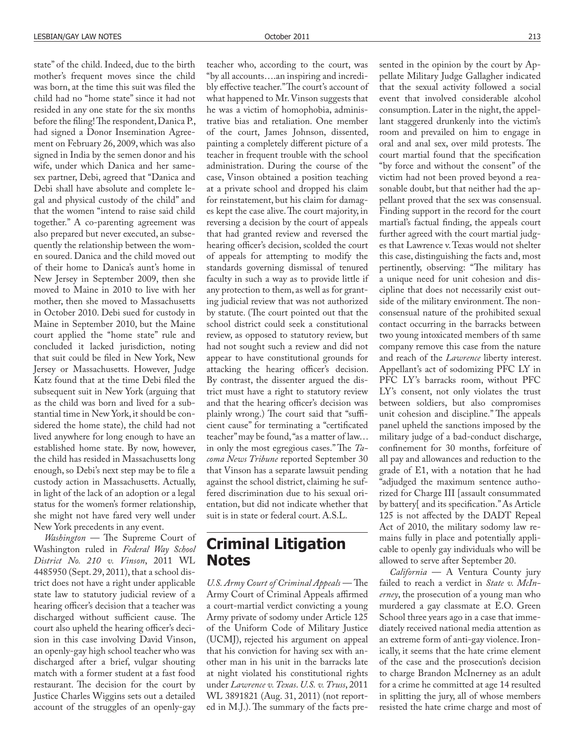state" of the child. Indeed, due to the birth mother's frequent moves since the child was born, at the time this suit was filed the child had no "home state" since it had not resided in any one state for the six months before the filing! The respondent, Danica P., had signed a Donor Insemination Agreement on February 26, 2009, which was also signed in India by the semen donor and his wife, under which Danica and her samesex partner, Debi, agreed that "Danica and Debi shall have absolute and complete legal and physical custody of the child" and that the women "intend to raise said child together." A co-parenting agreement was also prepared but never executed, an subsequently the relationship between the women soured. Danica and the child moved out of their home to Danica's aunt's home in New Jersey in September 2009, then she moved to Maine in 2010 to live with her mother, then she moved to Massachusetts in October 2010. Debi sued for custody in Maine in September 2010, but the Maine court applied the "home state" rule and concluded it lacked jurisdiction, noting that suit could be filed in New York, New Jersey or Massachusetts. However, Judge Katz found that at the time Debi filed the subsequent suit in New York (arguing that as the child was born and lived for a substantial time in New York, it should be considered the home state), the child had not lived anywhere for long enough to have an established home state. By now, however, the child has resided in Massachusetts long enough, so Debi's next step may be to file a custody action in Massachusetts. Actually, in light of the lack of an adoption or a legal status for the women's former relationship, she might not have fared very well under New York precedents in any event.

*Washington* — The Supreme Court of Washington ruled in *Federal Way School District No. 210 v. Vinson*, 2011 WL 4485950 (Sept. 29, 2011), that a school district does not have a right under applicable state law to statutory judicial review of a hearing officer's decision that a teacher was discharged without sufficient cause. The court also upheld the hearing officer's decision in this case involving David Vinson, an openly-gay high school teacher who was discharged after a brief, vulgar shouting match with a former student at a fast food restaurant. The decision for the court by Justice Charles Wiggins sets out a detailed account of the struggles of an openly-gay

teacher who, according to the court, was "by all accounts….an inspiring and incredibly effective teacher." The court's account of what happened to Mr. Vinson suggests that he was a victim of homophobia, administrative bias and retaliation. One member of the court, James Johnson, dissented, painting a completely different picture of a teacher in frequent trouble with the school administration. During the course of the case, Vinson obtained a position teaching at a private school and dropped his claim for reinstatement, but his claim for damages kept the case alive. The court majority, in reversing a decision by the court of appeals that had granted review and reversed the hearing officer's decision, scolded the court of appeals for attempting to modify the standards governing dismissal of tenured faculty in such a way as to provide little if any protection to them, as well as for granting judicial review that was not authorized by statute. (The court pointed out that the school district could seek a constitutional review, as opposed to statutory review, but had not sought such a review and did not appear to have constitutional grounds for attacking the hearing officer's decision. By contrast, the dissenter argued the district must have a right to statutory review and that the hearing officer's decision was plainly wrong.) The court said that "sufficient cause" for terminating a "certificated teacher" may be found, "as a matter of law… in only the most egregious cases." The *Tacoma News Tribune* reported September 30 that Vinson has a separate lawsuit pending against the school district, claiming he suffered discrimination due to his sexual orientation, but did not indicate whether that suit is in state or federal court. A.S.L.

# **Criminal Litigation Notes**

*U.S. Army Court of Criminal Appeals* — The Army Court of Criminal Appeals affirmed a court-martial verdict convicting a young Army private of sodomy under Article 125 of the Uniform Code of Military Justice (UCMJ), rejected his argument on appeal that his conviction for having sex with another man in his unit in the barracks late at night violated his constitutional rights under *Lawrence v. Texas*. *U.S. v. Truss*, 2011 WL 3891821 (Aug. 31, 2011) (not reported in M.J.). The summary of the facts presented in the opinion by the court by Appellate Military Judge Gallagher indicated that the sexual activity followed a social event that involved considerable alcohol consumption. Later in the night, the appellant staggered drunkenly into the victim's room and prevailed on him to engage in oral and anal sex, over mild protests. The court martial found that the specification "by force and without the consent" of the victim had not been proved beyond a reasonable doubt, but that neither had the appellant proved that the sex was consensual. Finding support in the record for the court martial's factual finding, the appeals court further agreed with the court martial judges that Lawrence v. Texas would not shelter this case, distinguishing the facts and, most pertinently, observing: "The military has a unique need for unit cohesion and discipline that does not necessarily exist outside of the military environment. The nonconsensual nature of the prohibited sexual contact occurring in the barracks between two young intoxicated members of th same company remove this case from the nature and reach of the *Lawrence* liberty interest. Appellant's act of sodomizing PFC LY in PFC LY's barracks room, without PFC LY's consent, not only violates the trust between soldiers, but also compromises unit cohesion and discipline." The appeals panel upheld the sanctions imposed by the military judge of a bad-conduct discharge, confinement for 30 months, forfeiture of all pay and allowances and reduction to the grade of E1, with a notation that he had "adjudged the maximum sentence authorized for Charge III [assault consummated by battery[ and its specification." As Article 125 is not affected by the DADT Repeal Act of 2010, the military sodomy law remains fully in place and potentially applicable to openly gay individuals who will be allowed to serve after September 20.

*California* — A Ventura County jury failed to reach a verdict in *State v. McInerney*, the prosecution of a young man who murdered a gay classmate at E.O. Green School three years ago in a case that immediately received national media attention as an extreme form of anti-gay violence. Ironically, it seems that the hate crime element of the case and the prosecution's decision to charge Brandon McInerney as an adult for a crime he committed at age 14 resulted in splitting the jury, all of whose members resisted the hate crime charge and most of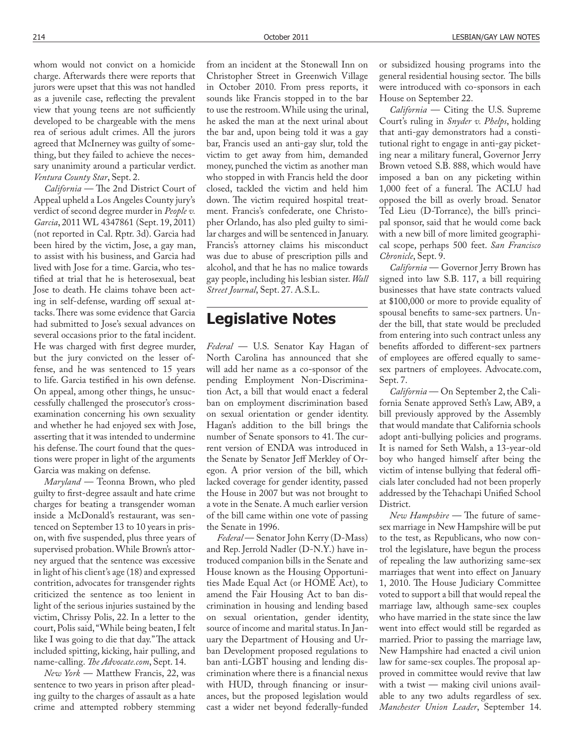whom would not convict on a homicide charge. Afterwards there were reports that jurors were upset that this was not handled as a juvenile case, reflecting the prevalent view that young teens are not sufficiently developed to be chargeable with the mens rea of serious adult crimes. All the jurors agreed that McInerney was guilty of something, but they failed to achieve the necessary unanimity around a particular verdict. *Ventura County Star*, Sept. 2.

*California* - The 2nd District Court of Appeal upheld a Los Angeles County jury's verdict of second degree murder in *People v. Garcia*, 2011 WL 4347861 (Sept. 19, 2011) (not reported in Cal. Rptr. 3d). Garcia had been hired by the victim, Jose, a gay man, to assist with his business, and Garcia had lived with Jose for a time. Garcia, who testified at trial that he is heterosexual, beat Jose to death. He claims tohave been acting in self-defense, warding off sexual attacks. There was some evidence that Garcia had submitted to Jose's sexual advances on several occasions prior to the fatal incident. He was charged with first degree murder, but the jury convicted on the lesser offense, and he was sentenced to 15 years to life. Garcia testified in his own defense. On appeal, among other things, he unsuccessfully challenged the prosecutor's crossexamination concerning his own sexuality and whether he had enjoyed sex with Jose, asserting that it was intended to undermine his defense. The court found that the questions were proper in light of the arguments Garcia was making on defense.

*Maryland* — Teonna Brown, who pled guilty to first-degree assault and hate crime charges for beating a transgender woman inside a McDonald's restaurant, was sentenced on September 13 to 10 years in prison, with five suspended, plus three years of supervised probation. While Brown's attorney argued that the sentence was excessive in light of his client's age (18) and expressed contrition, advocates for transgender rights criticized the sentence as too lenient in light of the serious injuries sustained by the victim, Chrissy Polis, 22. In a letter to the court, Polis said, "While being beaten, I felt like I was going to die that day." The attack included spitting, kicking, hair pulling, and name-calling. *The Advocate.com*, Sept. 14.

*New York* — Matthew Francis, 22, was sentence to two years in prison after pleading guilty to the charges of assault as a hate crime and attempted robbery stemming from an incident at the Stonewall Inn on Christopher Street in Greenwich Village in October 2010. From press reports, it sounds like Francis stopped in to the bar to use the restroom. While using the urinal, he asked the man at the next urinal about the bar and, upon being told it was a gay bar, Francis used an anti-gay slur, told the victim to get away from him, demanded money, punched the victim as another man who stopped in with Francis held the door closed, tackled the victim and held him down. The victim required hospital treatment. Francis's confederate, one Christopher Orlando, has also pled guilty to similar charges and will be sentenced in January. Francis's attorney claims his misconduct was due to abuse of prescription pills and alcohol, and that he has no malice towards gay people, including his lesbian sister. *Wall Street Journal*, Sept. 27. A.S.L.

### **Legislative Notes**

*Federal* — U.S. Senator Kay Hagan of North Carolina has announced that she will add her name as a co-sponsor of the pending Employment Non-Discrimination Act, a bill that would enact a federal ban on employment discrimination based on sexual orientation or gender identity. Hagan's addition to the bill brings the number of Senate sponsors to 41. The current version of ENDA was introduced in the Senate by Senator Jeff Merkley of Oregon. A prior version of the bill, which lacked coverage for gender identity, passed the House in 2007 but was not brought to a vote in the Senate. A much earlier version of the bill came within one vote of passing the Senate in 1996.

*Federal* — Senator John Kerry (D-Mass) and Rep. Jerrold Nadler (D-N.Y.) have introduced companion bills in the Senate and House known as the Housing Opportunities Made Equal Act (or HOME Act), to amend the Fair Housing Act to ban discrimination in housing and lending based on sexual orientation, gender identity, source of income and marital status. In January the Department of Housing and Urban Development proposed regulations to ban anti-LGBT housing and lending discrimination where there is a financial nexus with HUD, through financing or insurances, but the proposed legislation would cast a wider net beyond federally-funded or subsidized housing programs into the general residential housing sector. The bills were introduced with co-sponsors in each House on September 22.

*California* — Citing the U.S. Supreme Court's ruling in *Snyder v. Phelps*, holding that anti-gay demonstrators had a constitutional right to engage in anti-gay picketing near a military funeral, Governor Jerry Brown vetoed S.B. 888, which would have imposed a ban on any picketing within 1,000 feet of a funeral. The ACLU had opposed the bill as overly broad. Senator Ted Lieu (D-Torrance), the bill's principal sponsor, said that he would come back with a new bill of more limited geographical scope, perhaps 500 feet. *San Francisco Chronicle*, Sept. 9.

*California* — Governor Jerry Brown has signed into law S.B. 117, a bill requiring businesses that have state contracts valued at \$100,000 or more to provide equality of spousal benefits to same-sex partners. Under the bill, that state would be precluded from entering into such contract unless any benefits afforded to different-sex partners of employees are offered equally to samesex partners of employees. Advocate.com, Sept. 7.

*California* — On September 2, the California Senate approved Seth's Law, AB9, a bill previously approved by the Assembly that would mandate that California schools adopt anti-bullying policies and programs. It is named for Seth Walsh, a 13-year-old boy who hanged himself after being the victim of intense bullying that federal officials later concluded had not been properly addressed by the Tehachapi Unified School District.

*New Hampshire* - The future of samesex marriage in New Hampshire will be put to the test, as Republicans, who now control the legislature, have begun the process of repealing the law authorizing same-sex marriages that went into effect on January 1, 2010. The House Judiciary Committee voted to support a bill that would repeal the marriage law, although same-sex couples who have married in the state since the law went into effect would still be regarded as married. Prior to passing the marriage law, New Hampshire had enacted a civil union law for same-sex couples. The proposal approved in committee would revive that law with a twist — making civil unions available to any two adults regardless of sex. *Manchester Union Leader*, September 14.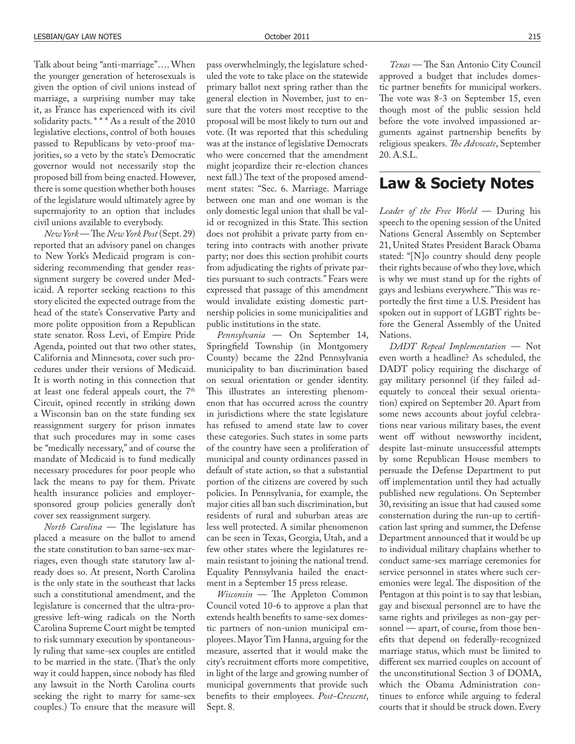Talk about being "anti-marriage"…. When the younger generation of heterosexuals is given the option of civil unions instead of marriage, a surprising number may take it, as France has experienced with its civil solidarity pacts. \* \* \* As a result of the 2010 legislative elections, control of both houses passed to Republicans by veto-proof majorities, so a veto by the state's Democratic governor would not necessarily stop the proposed bill from being enacted. However, there is some question whether both houses of the legislature would ultimately agree by supermajority to an option that includes civil unions available to everybody.

 $New York$  - The *New York Post* (Sept. 29) reported that an advisory panel on changes to New York's Medicaid program is considering recommending that gender reassignment surgery be covered under Medicaid. A reporter seeking reactions to this story elicited the expected outrage from the head of the state's Conservative Party and more polite opposition from a Republican state senator. Ross Levi, of Empire Pride Agenda, pointed out that two other states, California and Minnesota, cover such procedures under their versions of Medicaid. It is worth noting in this connection that at least one federal appeals court, the 7<sup>th</sup> Circuit, opined recently in striking down a Wisconsin ban on the state funding sex reassignment surgery for prison inmates that such procedures may in some cases be "medically necessary," and of course the mandate of Medicaid is to fund medically necessary procedures for poor people who lack the means to pay for them. Private health insurance policies and employersponsored group policies generally don't cover sex reassignment surgery.

*North Carolina* - The legislature has placed a measure on the ballot to amend the state constitution to ban same-sex marriages, even though state statutory law already does so. At present, North Carolina is the only state in the southeast that lacks such a constitutional amendment, and the legislature is concerned that the ultra-progressive left-wing radicals on the North Carolina Supreme Court might be tempted to risk summary execution by spontaneously ruling that same-sex couples are entitled to be married in the state. (That's the only way it could happen, since nobody has filed any lawsuit in the North Carolina courts seeking the right to marry for same-sex couples.) To ensure that the measure will

pass overwhelmingly, the legislature scheduled the vote to take place on the statewide primary ballot next spring rather than the general election in November, just to ensure that the voters most receptive to the proposal will be most likely to turn out and vote. (It was reported that this scheduling was at the instance of legislative Democrats who were concerned that the amendment might jeopardize their re-election chances next fall.) The text of the proposed amendment states: "Sec. 6. Marriage. Marriage between one man and one woman is the only domestic legal union that shall be valid or recognized in this State. This section does not prohibit a private party from entering into contracts with another private party; nor does this section prohibit courts from adjudicating the rights of private parties pursuant to such contracts." Fears were expressed that passage of this amendment would invalidate existing domestic partnership policies in some municipalities and public institutions in the state.

*Pennsylvania* — On September 14, Springfield Township (in Montgomery County) became the 22nd Pennsylvania municipality to ban discrimination based on sexual orientation or gender identity. This illustrates an interesting phenomenon that has occurred across the country in jurisdictions where the state legislature has refused to amend state law to cover these categories. Such states in some parts of the country have seen a proliferation of municipal and county ordinances passed in default of state action, so that a substantial portion of the citizens are covered by such policies. In Pennsylvania, for example, the major cities all ban such discrimination, but residents of rural and suburban areas are less well protected. A similar phenomenon can be seen in Texas, Georgia, Utah, and a few other states where the legislatures remain resistant to joining the national trend. Equality Pennsylvania hailed the enactment in a September 15 press release.

*Wisconsin* — The Appleton Common Council voted 10-6 to approve a plan that extends health benefits to same-sex domestic partners of non-union municipal employees. Mayor Tim Hanna, arguing for the measure, asserted that it would make the city's recruitment efforts more competitive, in light of the large and growing number of municipal governments that provide such benefits to their employees. Post-Crescent, Sept. 8.

*Texas* — The San Antonio City Council approved a budget that includes domestic partner benefits for municipal workers. The vote was 8-3 on September 15, even though most of the public session held before the vote involved impassioned arguments against partnership benefits by religious speakers. *The Advocate*, September 20. A.S.L.

### **Law & Society Notes**

*Leader of the Free World* — During his speech to the opening session of the United Nations General Assembly on September 21, United States President Barack Obama stated: "[N]o country should deny people their rights because of who they love, which is why we must stand up for the rights of gays and lesbians everywhere." This was reportedly the first time a U.S. President has spoken out in support of LGBT rights before the General Assembly of the United Nations.

*DADT Repeal Implementation* — Not even worth a headline? As scheduled, the DADT policy requiring the discharge of gay military personnel (if they failed adequately to conceal their sexual orientation) expired on September 20. Apart from some news accounts about joyful celebrations near various military bases, the event went off without newsworthy incident, despite last-minute unsuccessful attempts by some Republican House members to persuade the Defense Department to put off implementation until they had actually published new regulations. On September 30, revisiting an issue that had caused some consternation during the run-up to certification last spring and summer, the Defense Department announced that it would be up to individual military chaplains whether to conduct same-sex marriage ceremonies for service personnel in states where such ceremonies were legal. The disposition of the Pentagon at this point is to say that lesbian, gay and bisexual personnel are to have the same rights and privileges as non-gay personnel — apart, of course, from those benefits that depend on federally-recognized marriage status, which must be limited to different sex married couples on account of the unconstitutional Section 3 of DOMA, which the Obama Administration continues to enforce while arguing to federal courts that it should be struck down. Every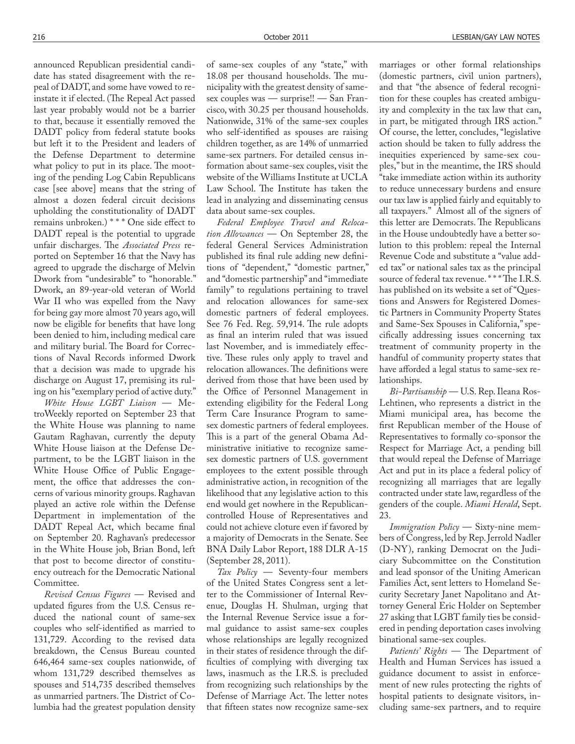announced Republican presidential candidate has stated disagreement with the repeal of DADT, and some have vowed to reinstate it if elected. (The Repeal Act passed last year probably would not be a barrier to that, because it essentially removed the DADT policy from federal statute books but left it to the President and leaders of the Defense Department to determine what policy to put in its place. The mooting of the pending Log Cabin Republicans case [see above] means that the string of almost a dozen federal circuit decisions upholding the constitutionality of DADT remains unbroken.) \*\*\* One side effect to DADT repeal is the potential to upgrade unfair discharges. The Associated Press reported on September 16 that the Navy has agreed to upgrade the discharge of Melvin Dwork from "undesirable" to "honorable." Dwork, an 89-year-old veteran of World War II who was expelled from the Navy for being gay more almost 70 years ago, will now be eligible for benefits that have long been denied to him, including medical care and military burial. The Board for Corrections of Naval Records informed Dwork that a decision was made to upgrade his discharge on August 17, premising its ruling on his "exemplary period of active duty."

*White House LGBT Liaison* — MetroWeekly reported on September 23 that the White House was planning to name Gautam Raghavan, currently the deputy White House liaison at the Defense Department, to be the LGBT liaison in the White House Office of Public Engagement, the office that addresses the concerns of various minority groups. Raghavan played an active role within the Defense Department in implementation of the DADT Repeal Act, which became final on September 20. Raghavan's predecessor in the White House job, Brian Bond, left that post to become director of constituency outreach for the Democratic National Committee.

*Revised Census Figures* — Revised and updated figures from the U.S. Census reduced the national count of same-sex couples who self-identified as married to 131,729. According to the revised data breakdown, the Census Bureau counted 646,464 same-sex couples nationwide, of whom 131,729 described themselves as spouses and 514,735 described themselves as unmarried partners. The District of Columbia had the greatest population density

of same-sex couples of any "state," with 18.08 per thousand households. The municipality with the greatest density of samesex couples was — surprise!! — San Francisco, with 30.25 per thousand households. Nationwide, 31% of the same-sex couples who self-identified as spouses are raising children together, as are 14% of unmarried same-sex partners. For detailed census information about same-sex couples, visit the website of the Williams Institute at UCLA Law School. The Institute has taken the lead in analyzing and disseminating census data about same-sex couples.

*Federal Employee Travel and Relocation Allowances* — On September 28, the federal General Services Administration published its final rule adding new definitions of "dependent," "domestic partner," and "domestic partnership" and "immediate family" to regulations pertaining to travel and relocation allowances for same-sex domestic partners of federal employees. See 76 Fed. Reg. 59,914. The rule adopts as final an interim ruled that was issued last November, and is immediately effective. These rules only apply to travel and relocation allowances. The definitions were derived from those that have been used by the Office of Personnel Management in extending eligibility for the Federal Long Term Care Insurance Program to samesex domestic partners of federal employees. This is a part of the general Obama Administrative initiative to recognize samesex domestic partners of U.S. government employees to the extent possible through administrative action, in recognition of the likelihood that any legislative action to this end would get nowhere in the Republicancontrolled House of Representatives and could not achieve cloture even if favored by a majority of Democrats in the Senate. See BNA Daily Labor Report, 188 DLR A-15 (September 28, 2011).

*Tax Policy* — Seventy-four members of the United States Congress sent a letter to the Commissioner of Internal Revenue, Douglas H. Shulman, urging that the Internal Revenue Service issue a formal guidance to assist same-sex couples whose relationships are legally recognized in their states of residence through the dif ficulties of complying with diverging tax laws, inasmuch as the I.R.S. is precluded from recognizing such relationships by the Defense of Marriage Act. The letter notes that fifteen states now recognize same-sex

marriages or other formal relationships (domestic partners, civil union partners), and that "the absence of federal recognition for these couples has created ambiguity and complexity in the tax law that can, in part, be mitigated through IRS action." Of course, the letter, concludes, "legislative action should be taken to fully address the inequities experienced by same-sex couples," but in the meantime, the IRS should "take immediate action within its authority to reduce unnecessary burdens and ensure our tax law is applied fairly and equitably to all taxpayers." Almost all of the signers of this letter are Democrats. The Republicans in the House undoubtedly have a better solution to this problem: repeal the Internal Revenue Code and substitute a "value added tax" or national sales tax as the principal source of federal tax revenue. \*\*\* The I.R.S. has published on its website a set of "Questions and Answers for Registered Domestic Partners in Community Property States and Same-Sex Spouses in California," specifically addressing issues concerning tax treatment of community property in the handful of community property states that have afforded a legal status to same-sex relationships.

*Bi-Partisanship* — U.S. Rep. Ileana Ros-Lehtinen, who represents a district in the Miami municipal area, has become the first Republican member of the House of Representatives to formally co-sponsor the Respect for Marriage Act, a pending bill that would repeal the Defense of Marriage Act and put in its place a federal policy of recognizing all marriages that are legally contracted under state law, regardless of the genders of the couple. *Miami Herald*, Sept. 23.

*Immigration Policy* — Sixty-nine members of Congress, led by Rep. Jerrold Nadler (D-NY ), ranking Democrat on the Judiciary Subcommittee on the Constitution and lead sponsor of the Uniting American Families Act, sent letters to Homeland Security Secretary Janet Napolitano and Attorney General Eric Holder on September 27 asking that LGBT family ties be considered in pending deportation cases involving binational same-sex couples.

*Patients' Rights* — The Department of Health and Human Services has issued a guidance document to assist in enforcement of new rules protecting the rights of hospital patients to designate visitors, including same-sex partners, and to require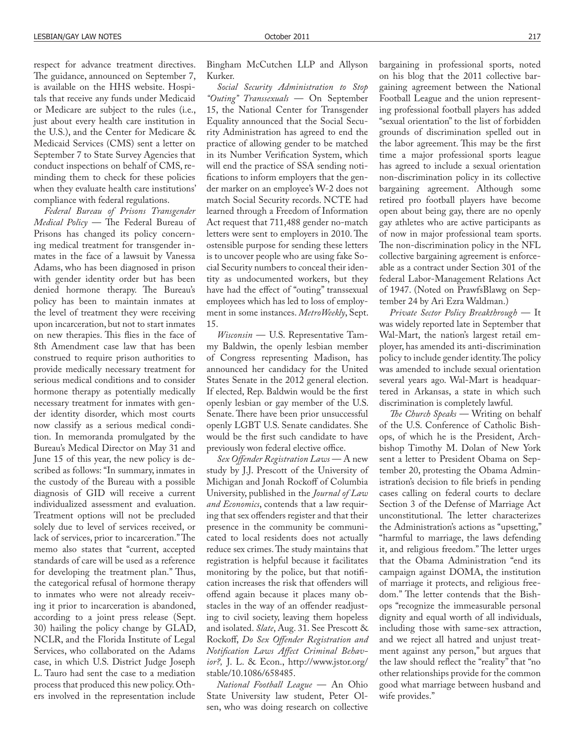respect for advance treatment directives. The guidance, announced on September 7, is available on the HHS website. Hospitals that receive any funds under Medicaid or Medicare are subject to the rules (i.e., just about every health care institution in the U.S.), and the Center for Medicare & Medicaid Services (CMS) sent a letter on September 7 to State Survey Agencies that conduct inspections on behalf of CMS, reminding them to check for these policies when they evaluate health care institutions' compliance with federal regulations.

*Federal Bureau of Prisons Transgender Medical Policy* — The Federal Bureau of Prisons has changed its policy concerning medical treatment for transgender inmates in the face of a lawsuit by Vanessa Adams, who has been diagnosed in prison with gender identity order but has been denied hormone therapy. The Bureau's policy has been to maintain inmates at the level of treatment they were receiving upon incarceration, but not to start inmates on new therapies. This flies in the face of 8th Amendment case law that has been construed to require prison authorities to provide medically necessary treatment for serious medical conditions and to consider hormone therapy as potentially medically necessary treatment for inmates with gender identity disorder, which most courts now classify as a serious medical condition. In memoranda promulgated by the Bureau's Medical Director on May 31 and June 15 of this year, the new policy is described as follows: "In summary, inmates in the custody of the Bureau with a possible diagnosis of GID will receive a current individualized assessment and evaluation. Treatment options will not be precluded solely due to level of services received, or lack of services, prior to incarceration." The memo also states that "current, accepted standards of care will be used as a reference for developing the treatment plan." Thus, the categorical refusal of hormone therapy to inmates who were not already receiving it prior to incarceration is abandoned, according to a joint press release (Sept. 30) hailing the policy change by GLAD, NCLR, and the Florida Institute of Legal Services, who collaborated on the Adams case, in which U.S. District Judge Joseph L. Tauro had sent the case to a mediation process that produced this new policy. Others involved in the representation include

Bingham McCutchen LLP and Allyson Kurker.

*Social Security Administration to Stop "Outing" Transsexuals* — On September 15, the National Center for Transgender Equality announced that the Social Security Administration has agreed to end the practice of allowing gender to be matched in its Number Verification System, which will end the practice of SSA sending noti fications to inform employers that the gender marker on an employee's W-2 does not match Social Security records. NCTE had learned through a Freedom of Information Act request that 711,488 gender no-match letters were sent to employers in 2010. The ostensible purpose for sending these letters is to uncover people who are using fake Social Security numbers to conceal their identity as undocumented workers, but they have had the effect of "outing" transsexual employees which has led to loss of employment in some instances. *MetroWeekly*, Sept. 15.

*Wisconsin* — U.S. Representative Tammy Baldwin, the openly lesbian member of Congress representing Madison, has announced her candidacy for the United States Senate in the 2012 general election. If elected, Rep. Baldwin would be the first openly lesbian or gay member of the U.S. Senate. There have been prior unsuccessful openly LGBT U.S. Senate candidates. She would be the first such candidate to have previously won federal elective office.

*Sex Offender Registration Laws* — A new study by J.J. Prescott of the University of Michigan and Jonah Rockoff of Columbia University, published in the *Journal of Law and Economics*, contends that a law requiring that sex offenders register and that their presence in the community be communicated to local residents does not actually reduce sex crimes. The study maintains that registration is helpful because it facilitates monitoring by the police, but that notification increases the risk that offenders will offend again because it places many obstacles in the way of an offender readjusting to civil society, leaving them hopeless and isolated. *Slate*, Aug. 31. See Prescott & Rockoff, *Do Sex Offender Registration and* Notification Laws Affect Criminal Behav*ior?,* J. L. & Econ., http://www.jstor.org/ stable/10.1086/658485.

*National Football League* — An Ohio State University law student, Peter Olsen, who was doing research on collective

bargaining in professional sports, noted on his blog that the 2011 collective bargaining agreement between the National Football League and the union representing professional football players has added "sexual orientation" to the list of forbidden grounds of discrimination spelled out in the labor agreement. This may be the first time a major professional sports league has agreed to include a sexual orientation non-discrimination policy in its collective bargaining agreement. Although some retired pro football players have become open about being gay, there are no openly gay athletes who are active participants as of now in major professional team sports. The non-discrimination policy in the NFL collective bargaining agreement is enforceable as a contract under Section 301 of the federal Labor-Management Relations Act of 1947. (Noted on PrawfsBlawg on September 24 by Ari Ezra Waldman.)

*Private Sector Policy Breakthrough* — It was widely reported late in September that Wal-Mart, the nation's largest retail employer, has amended its anti-discrimination policy to include gender identity. The policy was amended to include sexual orientation several years ago. Wal-Mart is headquartered in Arkansas, a state in which such discrimination is completely lawful.

The Church Speaks — Writing on behalf of the U.S. Conference of Catholic Bishops, of which he is the President, Archbishop Timothy M. Dolan of New York sent a letter to President Obama on September 20, protesting the Obama Administration's decision to file briefs in pending cases calling on federal courts to declare Section 3 of the Defense of Marriage Act unconstitutional. The letter characterizes the Administration's actions as "upsetting," "harmful to marriage, the laws defending it, and religious freedom." The letter urges that the Obama Administration "end its campaign against DOMA, the institution of marriage it protects, and religious freedom." The letter contends that the Bishops "recognize the immeasurable personal dignity and equal worth of all individuals, including those with same-sex attraction, and we reject all hatred and unjust treatment against any person," but argues that the law should reflect the "reality" that "no other relationships provide for the common good what marriage between husband and wife provides."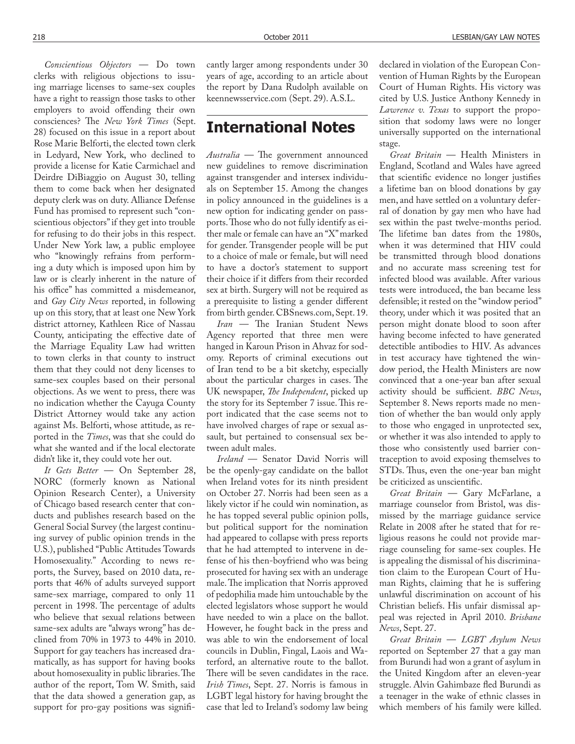*Conscientious Objectors* — Do town clerks with religious objections to issuing marriage licenses to same-sex couples have a right to reassign those tasks to other employers to avoid offending their own consciences? The *New York Times* (Sept. 28) focused on this issue in a report about Rose Marie Belforti, the elected town clerk in Ledyard, New York, who declined to provide a license for Katie Carmichael and Deirdre DiBiaggio on August 30, telling them to come back when her designated deputy clerk was on duty. Alliance Defense Fund has promised to represent such "conscientious objectors" if they get into trouble for refusing to do their jobs in this respect. Under New York law, a public employee who "knowingly refrains from performing a duty which is imposed upon him by law or is clearly inherent in the nature of his office" has committed a misdemeanor, and *Gay City News* reported, in following up on this story, that at least one New York district attorney, Kathleen Rice of Nassau County, anticipating the effective date of the Marriage Equality Law had written to town clerks in that county to instruct them that they could not deny licenses to same-sex couples based on their personal objections. As we went to press, there was no indication whether the Cayuga County District Attorney would take any action against Ms. Belforti, whose attitude, as reported in the *Times*, was that she could do what she wanted and if the local electorate didn't like it, they could vote her out.

*It Gets Better* — On September 28, NORC (formerly known as National Opinion Research Center), a University of Chicago based research center that conducts and publishes research based on the General Social Survey (the largest continuing survey of public opinion trends in the U.S.), published "Public Attitudes Towards Homosexuality." According to news reports, the Survey, based on 2010 data, reports that 46% of adults surveyed support same-sex marriage, compared to only 11 percent in 1998. The percentage of adults who believe that sexual relations between same-sex adults are "always wrong" has declined from 70% in 1973 to 44% in 2010. Support for gay teachers has increased dramatically, as has support for having books about homosexuality in public libraries. The author of the report, Tom W. Smith, said that the data showed a generation gap, as support for pro-gay positions was significantly larger among respondents under 30 years of age, according to an article about the report by Dana Rudolph available on keennewsservice.com (Sept. 29). A.S.L.

# **International Notes**

*Australia* — The government announced new guidelines to remove discrimination against transgender and intersex individuals on September 15. Among the changes in policy announced in the guidelines is a new option for indicating gender on passports. Those who do not fully identify as either male or female can have an "X" marked for gender. Transgender people will be put to a choice of male or female, but will need to have a doctor's statement to support their choice if it differs from their recorded sex at birth. Surgery will not be required as a prerequisite to listing a gender different from birth gender. CBSnews.com, Sept. 19.

*Iran* — The Iranian Student News Agency reported that three men were hanged in Karoun Prison in Ahvaz for sodomy. Reports of criminal executions out of Iran tend to be a bit sketchy, especially about the particular charges in cases. The UK newspaper, *The Independent*, picked up the story for its September 7 issue. This report indicated that the case seems not to have involved charges of rape or sexual assault, but pertained to consensual sex between adult males.

*Ireland* — Senator David Norris will be the openly-gay candidate on the ballot when Ireland votes for its ninth president on October 27. Norris had been seen as a likely victor if he could win nomination, as he has topped several public opinion polls, but political support for the nomination had appeared to collapse with press reports that he had attempted to intervene in defense of his then-boyfriend who was being prosecuted for having sex with an underage male. The implication that Norris approved of pedophilia made him untouchable by the elected legislators whose support he would have needed to win a place on the ballot. However, he fought back in the press and was able to win the endorsement of local councils in Dublin, Fingal, Laois and Waterford, an alternative route to the ballot. There will be seven candidates in the race. *Irish Times*, Sept. 27. Norris is famous in LGBT legal history for having brought the case that led to Ireland's sodomy law being declared in violation of the European Convention of Human Rights by the European Court of Human Rights. His victory was cited by U.S. Justice Anthony Kennedy in *Lawrence v. Texas* to support the proposition that sodomy laws were no longer universally supported on the international stage.

*Great Britain* — Health Ministers in England, Scotland and Wales have agreed that scientific evidence no longer justifies a lifetime ban on blood donations by gay men, and have settled on a voluntary deferral of donation by gay men who have had sex within the past twelve-months period. The lifetime ban dates from the 1980s, when it was determined that HIV could be transmitted through blood donations and no accurate mass screening test for infected blood was available. After various tests were introduced, the ban became less defensible; it rested on the "window period" theory, under which it was posited that an person might donate blood to soon after having become infected to have generated detectible antibodies to HIV. As advances in test accuracy have tightened the window period, the Health Ministers are now convinced that a one-year ban after sexual activity should be sufficient. *BBC News*, September 8. News reports made no mention of whether the ban would only apply to those who engaged in unprotected sex, or whether it was also intended to apply to those who consistently used barrier contraception to avoid exposing themselves to STDs. Thus, even the one-year ban might be criticized as unscientific.

*Great Britain* — Gary McFarlane, a marriage counselor from Bristol, was dismissed by the marriage guidance service Relate in 2008 after he stated that for religious reasons he could not provide marriage counseling for same-sex couples. He is appealing the dismissal of his discrimination claim to the European Court of Human Rights, claiming that he is suffering unlawful discrimination on account of his Christian beliefs. His unfair dismissal appeal was rejected in April 2010. *Brisbane News*, Sept. 27.

*Great Britain* — *LGBT Asylum News* reported on September 27 that a gay man from Burundi had won a grant of asylum in the United Kingdom after an eleven-year struggle. Alvin Gahimbaze fled Burundi as a teenager in the wake of ethnic classes in which members of his family were killed.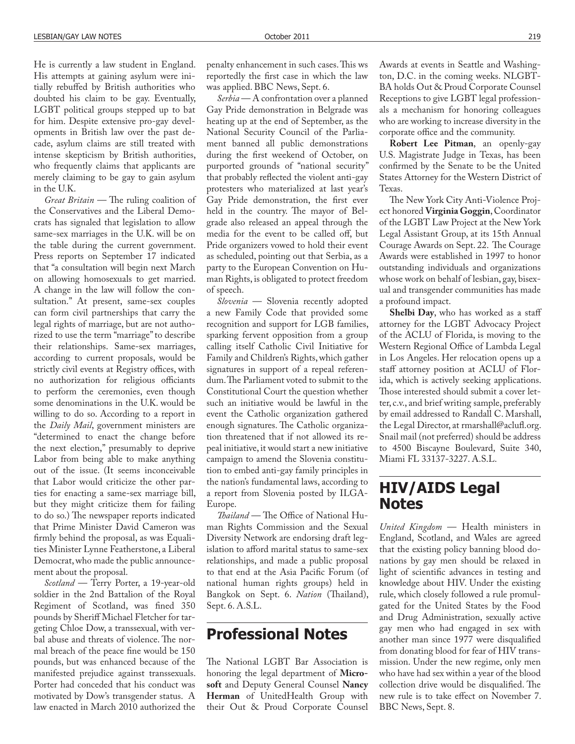He is currently a law student in England. His attempts at gaining asylum were initially rebuffed by British authorities who doubted his claim to be gay. Eventually, LGBT political groups stepped up to bat for him. Despite extensive pro-gay developments in British law over the past decade, asylum claims are still treated with intense skepticism by British authorities, who frequently claims that applicants are merely claiming to be gay to gain asylum in the U.K.

*Great Britain* — The ruling coalition of the Conservatives and the Liberal Democrats has signaled that legislation to allow same-sex marriages in the U.K. will be on the table during the current government. Press reports on September 17 indicated that "a consultation will begin next March on allowing homosexuals to get married. A change in the law will follow the consultation." At present, same-sex couples can form civil partnerships that carry the legal rights of marriage, but are not authorized to use the term "marriage" to describe their relationships. Same-sex marriages, according to current proposals, would be strictly civil events at Registry offices, with no authorization for religious officiants to perform the ceremonies, even though some denominations in the U.K. would be willing to do so. According to a report in the *Daily Mail*, government ministers are "determined to enact the change before the next election," presumably to deprive Labor from being able to make anything out of the issue. (It seems inconceivable that Labor would criticize the other parties for enacting a same-sex marriage bill, but they might criticize them for failing to do so.) The newspaper reports indicated that Prime Minister David Cameron was firmly behind the proposal, as was Equalities Minister Lynne Featherstone, a Liberal Democrat, who made the public announcement about the proposal.

*Scotland* — Terry Porter, a 19-year-old soldier in the 2nd Battalion of the Royal Regiment of Scotland, was fined 350 pounds by Sheriff Michael Fletcher for targeting Chloe Dow, a transsexual, with verbal abuse and threats of violence. The normal breach of the peace fine would be 150 pounds, but was enhanced because of the manifested prejudice against transsexuals. Porter had conceded that his conduct was motivated by Dow's transgender status. A law enacted in March 2010 authorized the

penalty enhancement in such cases. This ws reportedly the first case in which the law was applied. BBC News, Sept. 6.

*Serbia* — A confrontation over a planned Gay Pride demonstration in Belgrade was heating up at the end of September, as the National Security Council of the Parliament banned all public demonstrations during the first weekend of October, on purported grounds of "national security" that probably reflected the violent anti-gay protesters who materialized at last year's Gay Pride demonstration, the first ever held in the country. The mayor of Belgrade also released an appeal through the media for the event to be called off, but Pride organizers vowed to hold their event as scheduled, pointing out that Serbia, as a party to the European Convention on Human Rights, is obligated to protect freedom of speech.

*Slovenia* — Slovenia recently adopted a new Family Code that provided some recognition and support for LGB families, sparking fervent opposition from a group calling itself Catholic Civil Initiative for Family and Children's Rights, which gather signatures in support of a repeal referendum. The Parliament voted to submit to the Constitutional Court the question whether such an initiative would be lawful in the event the Catholic organization gathered enough signatures. The Catholic organization threatened that if not allowed its repeal initiative, it would start a new initiative campaign to amend the Slovenia constitution to embed anti-gay family principles in the nation's fundamental laws, according to a report from Slovenia posted by ILGA-Europe.

*Thailand* — The Office of National Human Rights Commission and the Sexual Diversity Network are endorsing draft legislation to afford marital status to same-sex relationships, and made a public proposal to that end at the Asia Pacific Forum (of national human rights groups) held in Bangkok on Sept. 6. *Nation* (Thailand), Sept. 6. A.S.L.

### **Professional Notes**

The National LGBT Bar Association is honoring the legal department of **Microsoft** and Deputy General Counsel **Nancy Herman** of UnitedHealth Group with their Out & Proud Corporate Counsel Awards at events in Seattle and Washington, D.C. in the coming weeks. NLGBT-BA holds Out & Proud Corporate Counsel Receptions to give LGBT legal professionals a mechanism for honoring colleagues who are working to increase diversity in the corporate office and the community.

**Robert Lee Pitman**, an openly-gay U.S. Magistrate Judge in Texas, has been confirmed by the Senate to be the United States Attorney for the Western District of Texas.

The New York City Anti-Violence Project honored **Virginia Goggin**, Coordinator of the LGBT Law Project at the New York Legal Assistant Group, at its 15th Annual Courage Awards on Sept. 22. The Courage Awards were established in 1997 to honor outstanding individuals and organizations whose work on behalf of lesbian, gay, bisexual and transgender communities has made a profound impact.

**Shelbi Day**, who has worked as a staff attorney for the LGBT Advocacy Project of the ACLU of Florida, is moving to the Western Regional Office of Lambda Legal in Los Angeles. Her relocation opens up a staff attorney position at ACLU of Florida, which is actively seeking applications. Those interested should submit a cover letter, c.v., and brief writing sample, preferably by email addressed to Randall C. Marshall, the Legal Director, at rmarshall@aclufl.org. Snail mail (not preferred) should be address to 4500 Biscayne Boulevard, Suite 340, Miami FL 33137-3227. A.S.L.

# **HIV/AIDS Legal Notes**

*United Kingdom* — Health ministers in England, Scotland, and Wales are agreed that the existing policy banning blood donations by gay men should be relaxed in light of scientific advances in testing and knowledge about HIV. Under the existing rule, which closely followed a rule promulgated for the United States by the Food and Drug Administration, sexually active gay men who had engaged in sex with another man since 1977 were disqualified from donating blood for fear of HIV transmission. Under the new regime, only men who have had sex within a year of the blood collection drive would be disqualified. The new rule is to take effect on November 7. BBC News, Sept. 8.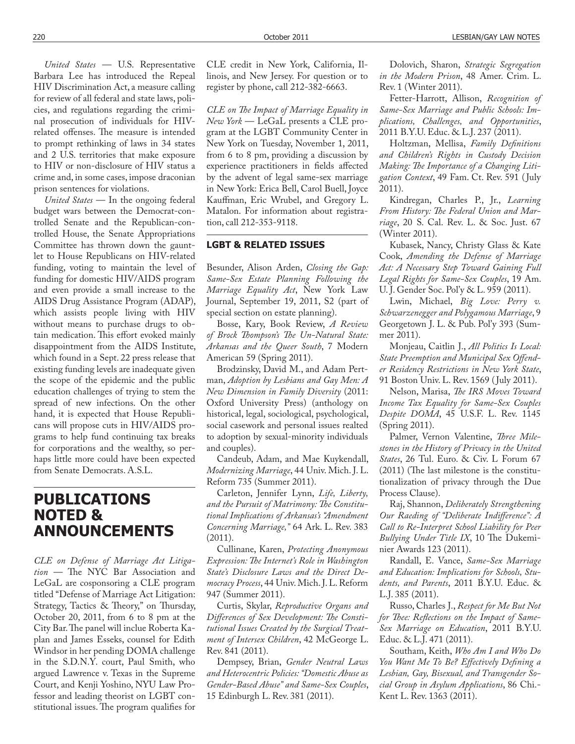*United States* — U.S. Representative Barbara Lee has introduced the Repeal HIV Discrimination Act, a measure calling for review of all federal and state laws, policies, and regulations regarding the criminal prosecution of individuals for HIVrelated offenses. The measure is intended to prompt rethinking of laws in 34 states and 2 U.S. territories that make exposure to HIV or non-disclosure of HIV status a crime and, in some cases, impose draconian prison sentences for violations.

*United States* — In the ongoing federal budget wars between the Democrat-controlled Senate and the Republican-controlled House, the Senate Appropriations Committee has thrown down the gauntlet to House Republicans on HIV-related funding, voting to maintain the level of funding for domestic HIV/AIDS program and even provide a small increase to the AIDS Drug Assistance Program (ADAP), which assists people living with HIV without means to purchase drugs to obtain medication. This effort evoked mainly disappointment from the AIDS Institute, which found in a Sept. 22 press release that existing funding levels are inadequate given the scope of the epidemic and the public education challenges of trying to stem the spread of new infections. On the other hand, it is expected that House Republicans will propose cuts in HIV/AIDS programs to help fund continuing tax breaks for corporations and the wealthy, so perhaps little more could have been expected from Senate Democrats. A.S.L.

## **PUBLICATIONS NOTED & ANNOUNCEMENTS**

*CLE on Defense of Marriage Act Litigation* - The NYC Bar Association and LeGaL are cosponsoring a CLE program titled "Defense of Marriage Act Litigation: Strategy, Tactics & Theory," on Thursday, October 20, 2011, from 6 to 8 pm at the City Bar. The panel will inclue Roberta Kaplan and James Esseks, counsel for Edith Windsor in her pending DOMA challenge in the S.D.N.Y. court, Paul Smith, who argued Lawrence v. Texas in the Supreme Court, and Kenji Yoshino, NYU Law Professor and leading theorist on LGBT constitutional issues. The program qualifies for

CLE credit in New York, California, Illinois, and New Jersey. For question or to register by phone, call 212-382-6663.

*CLE on The Impact of Marriage Equality in New York* — LeGaL presents a CLE program at the LGBT Community Center in New York on Tuesday, November 1, 2011, from 6 to 8 pm, providing a discussion by experience practitioners in fields affected by the advent of legal same-sex marriage in New York: Erica Bell, Carol Buell, Joyce Kauffman, Eric Wrubel, and Gregory L. Matalon. For information about registration, call 212-353-9118.

#### **LGBT & RELATED ISSUES**

Besunder, Alison Arden, *Closing the Gap: Same-Sex Estate Planning Following the Marriage Equality Act*, New York Law Journal, September 19, 2011, S2 (part of special section on estate planning).

Bosse, Kary, Book Review, *A Review*  of Brock Thompson's The Un-Natural State: *Arkansas and the Queer South*, 7 Modern American 59 (Spring 2011).

Brodzinsky, David M., and Adam Pertman, *Adoption by Lesbians and Gay Men: A New Dimension in Family Diversity* (2011: Oxford University Press) (anthology on historical, legal, sociological, psychological, social casework and personal issues realted to adoption by sexual-minority individuals and couples).

Candeub, Adam, and Mae Kuykendall, *Modernizing Marriage*, 44 Univ. Mich. J. L. Reform 735 (Summer 2011).

Carleton, Jennifer Lynn, *Life, Liberty,*  and the Pursuit of Matrimony: The Constitu*tional Implications of Arkansas's "Amendment Concerning Marriage,"* 64 Ark. L. Rev. 383 (2011).

Cullinane, Karen, *Protecting Anonymous Expression: The Internet's Role in Washington State's Disclosure Laws and the Direct Democracy Process*, 44 Univ. Mich. J. L. Reform 947 (Summer 2011).

Curtis, Skylar, *Reproductive Organs and*  **Differences of Sex Development: The Consti***tutional Issues Created by the Surgical Treatment of Intersex Children*, 42 McGeorge L. Rev. 841 (2011).

Dempsey, Brian, *Gender Neutral Laws and Heterocentric Policies: "Domestic Abuse as Gender-Based Abuse" and Same-Sex Couples*, 15 Edinburgh L. Rev. 381 (2011).

Dolovich, Sharon, *Strategic Segregation in the Modern Prison*, 48 Amer. Crim. L. Rev. 1 (Winter 2011).

Fetter-Harrott, Allison, *Recognition of Same-Sex Marriage and Public Schools: Implications, Challenges, and Opportunities*, 2011 B.Y.U. Educ. & L.J. 237 (2011).

Holtzman, Mellisa, *Family Definitions and Children's Rights in Custody Decision*  Making: The Importance of a Changing Liti*gation Context*, 49 Fam. Ct. Rev. 591 ( July 2011).

Kindregan, Charles P., Jr., *Learning*  From History: The Federal Union and Mar*riage*, 20 S. Cal. Rev. L. & Soc. Just. 67 (Winter 2011).

Kubasek, Nancy, Christy Glass & Kate Cook, *Amending the Defense of Marriage Act: A Necessary Step Toward Gaining Full Legal Rights for Same-Sex Couples*, 19 Am. U. J. Gender Soc. Pol'y & L. 959 (2011).

Lwin, Michael, *Big Love: Perry v. Schwarzenegger and Polygamous Marriage*, 9 Georgetown J. L. & Pub. Pol'y 393 (Summer 2011).

Monjeau, Caitlin J., *All Politics Is Local:*  State Preemption and Municipal Sex Offend*er Residency Restrictions in New York State*, 91 Boston Univ. L. Rev. 1569 ( July 2011).

Nelson, Marisa, *#e IRS Moves Toward Income Tax Equality for Same-Sex Couples Despite DOMA*, 45 U.S.F. L. Rev. 1145 (Spring 2011).

Palmer, Vernon Valentine, Three Mile*stones in the History of Privacy in the United States*, 26 Tul. Euro. & Civ. L Forum 67  $(2011)$  (The last milestone is the constitutionalization of privacy through the Due Process Clause).

Raj, Shannon, *Deliberately Strengthening*  Our Raeding of "Deliberate Indifference": A *Call to Re-Interpret School Liability for Peer*  **Bullying Under Title IX, 10 The Dukemi**nier Awards 123 (2011).

Randall, E. Vance, *Same-Sex Marriage and Education: Implications for Schools, Students, and Parents*, 2011 B.Y.U. Educ. & L.J. 385 (2011).

Russo, Charles J., *Respect for Me But Not*  for Thee: Reflections on the Impact of Same-*Sex Marriage on Education*, 2011 B.Y.U. Educ. & L.J. 471 (2011).

Southam, Keith, *Who Am I and Who Do*  You Want Me To Be? Effectively Defining a *Lesbian, Gay, Bisexual, and Transgender Social Group in Asylum Applications*, 86 Chi.- Kent L. Rev. 1363 (2011).